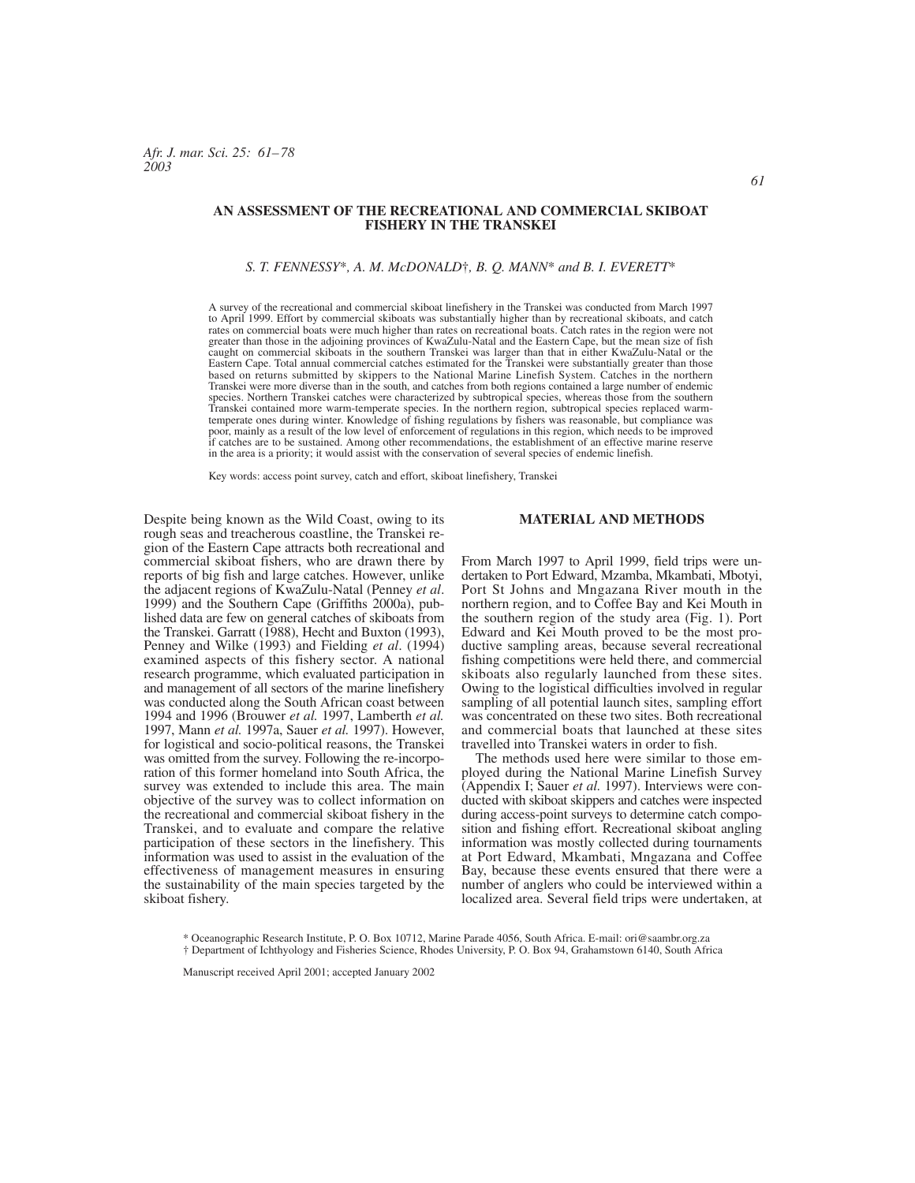# **AN ASSESSMENT OF THE RECREATIONAL AND COMMERCIAL SKIBOAT FISHERY IN THE TRANSKEI**

#### *S. T. FENNESSY*\**, A. M. McDONALD*†*, B. Q. MANN*\* *and B. I. EVERETT*\*

A survey of the recreational and commercial skiboat linefishery in the Transkei was conducted from March 1997 to April 1999. Effort by commercial skiboats was substantially higher than by recreational skiboats, and catch rates on commercial boats were much higher than rates on recreational boats. Catch rates in the region were not greater than those in the adjoining provinces of KwaZulu-Natal and the Eastern Cape, but the mean size of fish caught on commercial skiboats in the southern Transkei was larger than that in either KwaZulu-Natal or the Eastern Cape. Total annual commercial catches estimated for the Transkei were substantially greater than those based on returns submitted by skippers to the National Marine Linefish System. Catches in the northern Transkei were more diverse than in the south, and catches from both regions contained a large number of endemic species. Northern Transkei catches were characterized by subtropical species, whereas those from the southern Transkei contained more warm-temperate species. In the northern region, subtropical species replaced warmtemperate ones during winter. Knowledge of fishing regulations by fishers was reasonable, but compliance was poor, mainly as a result of the low level of enforcement of regulations in this region, which needs to be improved if catches are to be sustained. Among other recommendations, the establishment of an effective marine reserve in the area is a priority; it would assist with the conservation of several species of endemic linefish.

Key words: access point survey, catch and effort, skiboat linefishery, Transkei

Despite being known as the Wild Coast, owing to its rough seas and treacherous coastline, the Transkei region of the Eastern Cape attracts both recreational and commercial skiboat fishers, who are drawn there by reports of big fish and large catches. However, unlike the adjacent regions of KwaZulu-Natal (Penney *et al*. 1999) and the Southern Cape (Griffiths 2000a), published data are few on general catches of skiboats from the Transkei. Garratt (1988), Hecht and Buxton (1993), Penney and Wilke (1993) and Fielding *et al*. (1994) examined aspects of this fishery sector. A national research programme, which evaluated participation in and management of all sectors of the marine linefishery was conducted along the South African coast between 1994 and 1996 (Brouwer *et al.* 1997, Lamberth *et al.* 1997, Mann *et al.* 1997a, Sauer *et al.* 1997). However, for logistical and socio-political reasons, the Transkei was omitted from the survey. Following the re-incorporation of this former homeland into South Africa, the survey was extended to include this area. The main objective of the survey was to collect information on the recreational and commercial skiboat fishery in the Transkei, and to evaluate and compare the relative participation of these sectors in the linefishery. This information was used to assist in the evaluation of the effectiveness of management measures in ensuring the sustainability of the main species targeted by the skiboat fishery.

#### **MATERIAL AND METHODS**

From March 1997 to April 1999, field trips were undertaken to Port Edward, Mzamba, Mkambati, Mbotyi, Port St Johns and Mngazana River mouth in the northern region, and to Coffee Bay and Kei Mouth in the southern region of the study area (Fig. 1). Port Edward and Kei Mouth proved to be the most productive sampling areas, because several recreational fishing competitions were held there, and commercial skiboats also regularly launched from these sites. Owing to the logistical difficulties involved in regular sampling of all potential launch sites, sampling effort was concentrated on these two sites. Both recreational and commercial boats that launched at these sites travelled into Transkei waters in order to fish.

The methods used here were similar to those employed during the National Marine Linefish Survey (Appendix I; Sauer *et al.* 1997). Interviews were conducted with skiboat skippers and catches were inspected during access-point surveys to determine catch composition and fishing effort. Recreational skiboat angling information was mostly collected during tournaments at Port Edward, Mkambati, Mngazana and Coffee Bay, because these events ensured that there were a number of anglers who could be interviewed within a localized area. Several field trips were undertaken, at

\* Oceanographic Research Institute, P. O. Box 10712, Marine Parade 4056, South Africa. E-mail: ori@saambr.org.za † Department of Ichthyology and Fisheries Science, Rhodes University, P. O. Box 94, Grahamstown 6140, South Africa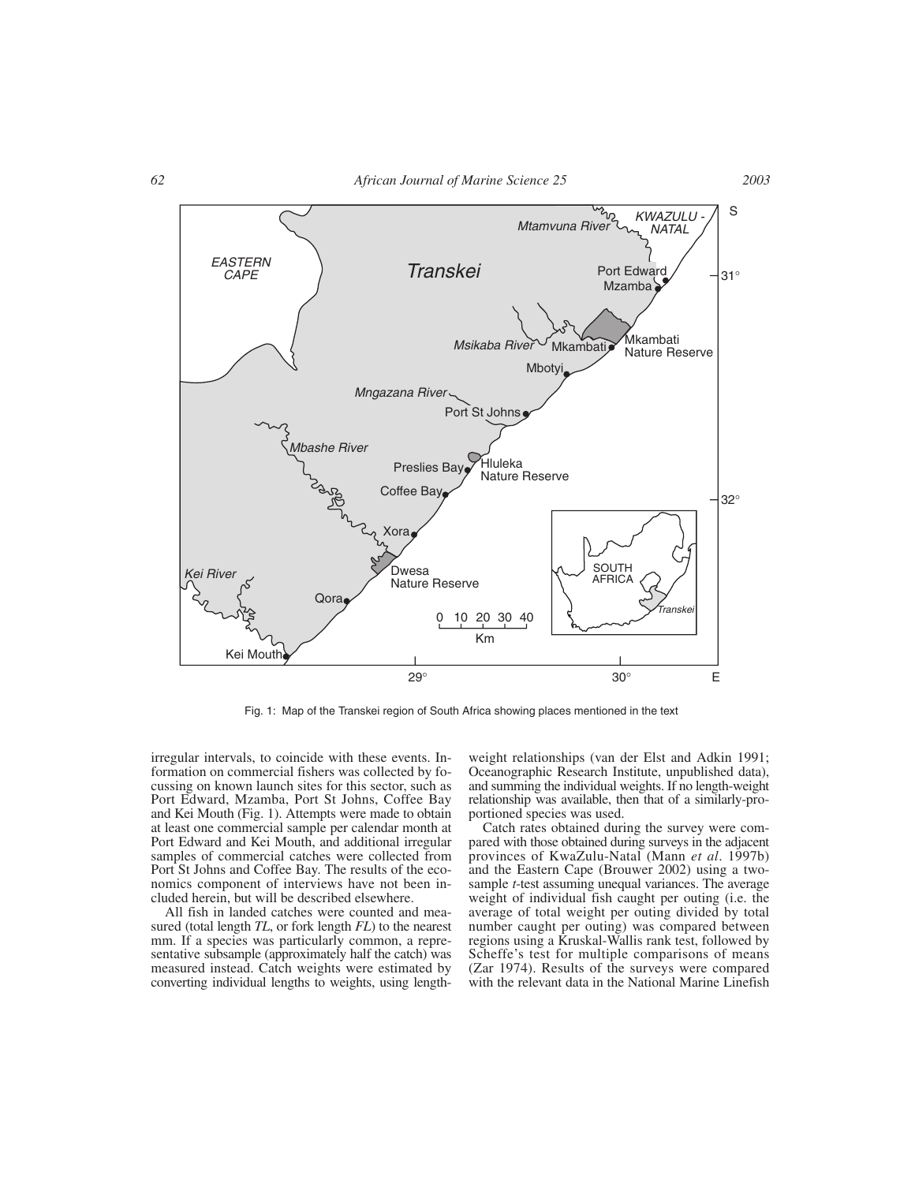

Fig. 1: Map of the Transkei region of South Africa showing places mentioned in the text

irregular intervals, to coincide with these events. Information on commercial fishers was collected by focussing on known launch sites for this sector, such as Port Edward, Mzamba, Port St Johns, Coffee Bay and Kei Mouth (Fig. 1). Attempts were made to obtain at least one commercial sample per calendar month at Port Edward and Kei Mouth, and additional irregular samples of commercial catches were collected from Port St Johns and Coffee Bay. The results of the economics component of interviews have not been included herein, but will be described elsewhere.

All fish in landed catches were counted and measured (total length *TL*, or fork length *FL*) to the nearest mm. If a species was particularly common, a representative subsample (approximately half the catch) was measured instead. Catch weights were estimated by converting individual lengths to weights, using length-

weight relationships (van der Elst and Adkin 1991; Oceanographic Research Institute, unpublished data), and summing the individual weights. If no length-weight relationship was available, then that of a similarly-proportioned species was used.

Catch rates obtained during the survey were compared with those obtained during surveys in the adjacent provinces of KwaZulu-Natal (Mann *et al*. 1997b) and the Eastern Cape (Brouwer 2002) using a twosample *t*-test assuming unequal variances. The average weight of individual fish caught per outing (i.e. the average of total weight per outing divided by total number caught per outing) was compared between regions using a Kruskal-Wallis rank test, followed by Scheffe's test for multiple comparisons of means (Zar 1974). Results of the surveys were compared with the relevant data in the National Marine Linefish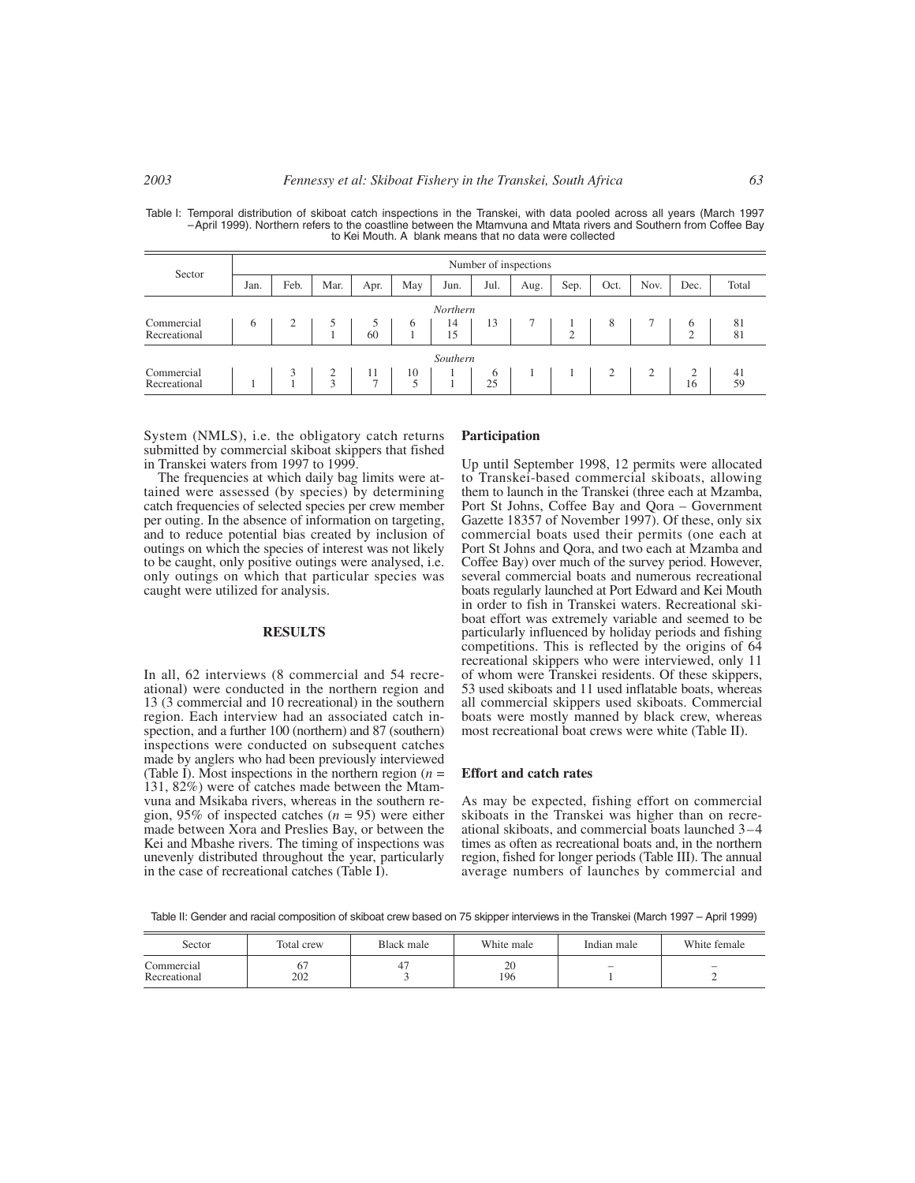| Sector                     |      | Number of inspections |      |                                        |         |          |         |      |        |      |      |               |          |
|----------------------------|------|-----------------------|------|----------------------------------------|---------|----------|---------|------|--------|------|------|---------------|----------|
|                            | Jan. | Feb.                  | Mar. | Apr.                                   | May     | Jun.     | Jul.    | Aug. | Sep.   | Oct. | Nov. | Dec.          | Total    |
|                            |      |                       |      |                                        |         | Northern |         |      |        |      |      |               |          |
| Commercial<br>Recreational | 6    |                       |      | $\begin{array}{c} 5 \\ 60 \end{array}$ | 6       | 14<br>15 | 13      |      | $\sim$ | 8    |      | b<br>$\Omega$ | 81<br>81 |
|                            |      |                       |      |                                        |         | Southern |         |      |        |      |      |               |          |
| Commercial<br>Recreational |      | л.                    | 3    | 11<br>$\tau$                           | 10<br>5 |          | 6<br>25 |      |        |      |      | 16            | 41<br>59 |

Table I: Temporal distribution of skiboat catch inspections in the Transkei, with data pooled across all years (March 1997 –April 1999). Northern refers to the coastline between the Mtamvuna and Mtata rivers and Southern from Coffee Bay to Kei Mouth. A blank means that no data were collected

System (NMLS), i.e. the obligatory catch returns submitted by commercial skiboat skippers that fished in Transkei waters from 1997 to 1999.

The frequencies at which daily bag limits were attained were assessed (by species) by determining catch frequencies of selected species per crew member per outing. In the absence of information on targeting, and to reduce potential bias created by inclusion of outings on which the species of interest was not likely to be caught, only positive outings were analysed, i.e. only outings on which that particular species was caught were utilized for analysis.

#### **RESULTS**

In all, 62 interviews (8 commercial and 54 recreational) were conducted in the northern region and 13 (3 commercial and 10 recreational) in the southern region. Each interview had an associated catch inspection, and a further 100 (northern) and 87 (southern) inspections were conducted on subsequent catches made by anglers who had been previously interviewed (Table I). Most inspections in the northern region  $(n =$ 131, 82%) were of catches made between the Mtamvuna and Msikaba rivers, whereas in the southern region, 95% of inspected catches (*n* = 95) were either made between Xora and Preslies Bay, or between the Kei and Mbashe rivers. The timing of inspections was unevenly distributed throughout the year, particularly in the case of recreational catches (Table I).

# **Participation**

Up until September 1998, 12 permits were allocated to Transkei-based commercial skiboats, allowing them to launch in the Transkei (three each at Mzamba, Port St Johns, Coffee Bay and Qora – Government Gazette 18357 of November 1997). Of these, only six commercial boats used their permits (one each at Port St Johns and Qora, and two each at Mzamba and Coffee Bay) over much of the survey period. However, several commercial boats and numerous recreational boats regularly launched at Port Edward and Kei Mouth in order to fish in Transkei waters. Recreational skiboat effort was extremely variable and seemed to be particularly influenced by holiday periods and fishing competitions. This is reflected by the origins of 64 recreational skippers who were interviewed, only 11 of whom were Transkei residents. Of these skippers, 53 used skiboats and 11 used inflatable boats, whereas all commercial skippers used skiboats. Commercial boats were mostly manned by black crew, whereas most recreational boat crews were white (Table II).

# **Effort and catch rates**

As may be expected, fishing effort on commercial skiboats in the Transkei was higher than on recreational skiboats, and commercial boats launched 3–4 times as often as recreational boats and, in the northern region, fished for longer periods (Table III). The annual average numbers of launches by commercial and

Table II: Gender and racial composition of skiboat crew based on 75 skipper interviews in the Transkei (March 1997 – April 1999)

| Sector                     | Total crew | Black male | White male | Indian male             | White female |
|----------------------------|------------|------------|------------|-------------------------|--------------|
| Commercial<br>Recreational | 202        |            | 20<br>196  | $\qquad \qquad \  \, -$ |              |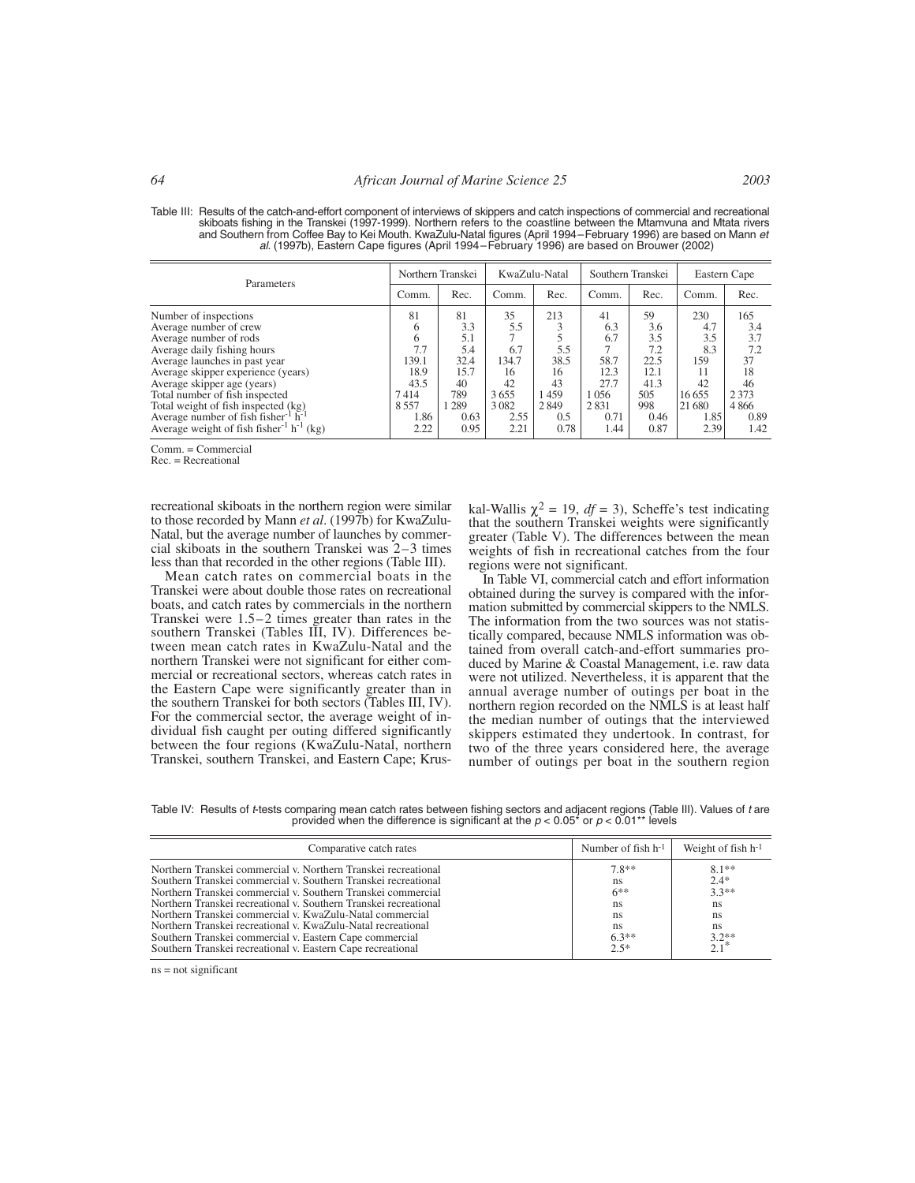| Table III: Results of the catch-and-effort component of interviews of skippers and catch inspections of commercial and recreational<br>skiboats fishing in the Transkei (1997-1999). Northern refers to the coastline between the Mtamvuna and Mtata rivers |
|-------------------------------------------------------------------------------------------------------------------------------------------------------------------------------------------------------------------------------------------------------------|
| and Southern from Coffee Bay to Kei Mouth. KwaZulu-Natal figures (April 1994–February 1996) are based on Mann et                                                                                                                                            |
| al. (1997b), Eastern Cape figures (April 1994–February 1996) are based on Brouwer (2002)                                                                                                                                                                    |

| Parameters                                                                                                                                                                                                                                                                                                                                             | Northern Transkei                                                       |                                                                       | KwaZulu-Natal                                                    |                                                               | Southern Transkei                                                |                                                                       | Eastern Cape                                                              |                                                                       |
|--------------------------------------------------------------------------------------------------------------------------------------------------------------------------------------------------------------------------------------------------------------------------------------------------------------------------------------------------------|-------------------------------------------------------------------------|-----------------------------------------------------------------------|------------------------------------------------------------------|---------------------------------------------------------------|------------------------------------------------------------------|-----------------------------------------------------------------------|---------------------------------------------------------------------------|-----------------------------------------------------------------------|
|                                                                                                                                                                                                                                                                                                                                                        | Comm.                                                                   | Rec.                                                                  | Comm.                                                            | Rec.                                                          | Comm.                                                            | Rec.                                                                  | Comm.                                                                     | Rec.                                                                  |
| Number of inspections<br>Average number of crew<br>Average number of rods<br>Average daily fishing hours<br>Average launches in past year<br>Average skipper experience (years)<br>Average skipper age (years)<br>Total number of fish inspected<br>Total weight of fish inspected (kg)<br>Average number of fish fisher $\frac{1}{2}$ h <sup>-1</sup> | 81<br>6<br>6<br>7.7<br>139.1<br>18.9<br>43.5<br>7414<br>8 5 5 7<br>1.86 | 81<br>3.3<br>5.1<br>5.4<br>32.4<br>15.7<br>40<br>789<br>  289<br>0.63 | 35<br>5.5<br>6.7<br>134.7<br>16<br>42<br>3655<br>3 0 8 2<br>2.55 | 213<br>3<br>5.5<br>38.5<br>16<br>43<br>1459<br>2 8 4 9<br>0.5 | 41<br>6.3<br>6.7<br>58.7<br>12.3<br>27.7<br>1056<br>2831<br>0.71 | 59<br>3.6<br>3.5<br>7.2<br>22.5<br>12.1<br>41.3<br>505<br>998<br>0.46 | 230<br>4.7<br>3.5<br>8.3<br>159<br>11<br>42<br>16 6 5 5<br>21 680<br>1.85 | 165<br>3.4<br>3.7<br>7.2<br>37<br>18<br>46<br>2 3 7 3<br>4866<br>0.89 |
| Average weight of fish fisher <sup>-1</sup> h <sup>-1</sup> (kg)                                                                                                                                                                                                                                                                                       | 2.22                                                                    | 0.95                                                                  | 2.21                                                             | 0.78                                                          | 1.44                                                             | 0.87                                                                  | 2.39                                                                      | 1.42                                                                  |

Comm. = Commercial

Rec. = Recreational

recreational skiboats in the northern region were similar to those recorded by Mann *et al*. (1997b) for KwaZulu-Natal, but the average number of launches by commercial skiboats in the southern Transkei was 2–3 times less than that recorded in the other regions (Table III).

Mean catch rates on commercial boats in the Transkei were about double those rates on recreational boats, and catch rates by commercials in the northern Transkei were 1.5–2 times greater than rates in the southern Transkei (Tables III, IV). Differences between mean catch rates in KwaZulu-Natal and the northern Transkei were not significant for either commercial or recreational sectors, whereas catch rates in the Eastern Cape were significantly greater than in the southern Transkei for both sectors (Tables III, IV). For the commercial sector, the average weight of individual fish caught per outing differed significantly between the four regions (KwaZulu-Natal, northern Transkei, southern Transkei, and Eastern Cape; Kruskal-Wallis  $\chi^2 = 19$ ,  $df = 3$ ), Scheffe's test indicating that the southern Transkei weights were significantly greater (Table V). The differences between the mean weights of fish in recreational catches from the four regions were not significant.

In Table VI, commercial catch and effort information obtained during the survey is compared with the information submitted by commercial skippers to the NMLS. The information from the two sources was not statistically compared, because NMLS information was obtained from overall catch-and-effort summaries produced by Marine & Coastal Management, i.e. raw data were not utilized. Nevertheless, it is apparent that the annual average number of outings per boat in the northern region recorded on the NMLS is at least half the median number of outings that the interviewed skippers estimated they undertook. In contrast, for two of the three years considered here, the average number of outings per boat in the southern region

Table IV: Results of *t*-tests comparing mean catch rates between fishing sectors and adjacent regions (Table III). Values of *t* are<br>provided when the difference is significant at the  $p < 0.05$ \* or  $p < 0.01$ \*\* levels

| Comparative catch rates                                                                                                                                                                                                                                                                                                                                                                                                                                                                                                    | Number of fish $h^{-1}$                                        | Weight of fish $h^{-1}$                                                      |
|----------------------------------------------------------------------------------------------------------------------------------------------------------------------------------------------------------------------------------------------------------------------------------------------------------------------------------------------------------------------------------------------------------------------------------------------------------------------------------------------------------------------------|----------------------------------------------------------------|------------------------------------------------------------------------------|
| Northern Transkei commercial v. Northern Transkei recreational<br>Southern Transkei commercial v. Southern Transkei recreational<br>Northern Transkei commercial v. Southern Transkei commercial<br>Northern Transkei recreational v. Southern Transkei recreational<br>Northern Transkei commercial v. KwaZulu-Natal commercial<br>Northern Transkei recreational v. KwaZulu-Natal recreational<br>Southern Transkei commercial v. Eastern Cape commercial<br>Southern Transkei recreational v. Eastern Cape recreational | $7.8**$<br>ns<br>$6***$<br>ns<br>ns<br>ns<br>$6.3**$<br>$2.5*$ | $8.1**$<br>$2.4*$<br>$3.3**$<br>ns<br>ns<br><sub>ns</sub><br>$3.2**$<br>2.1* |

ns = not significant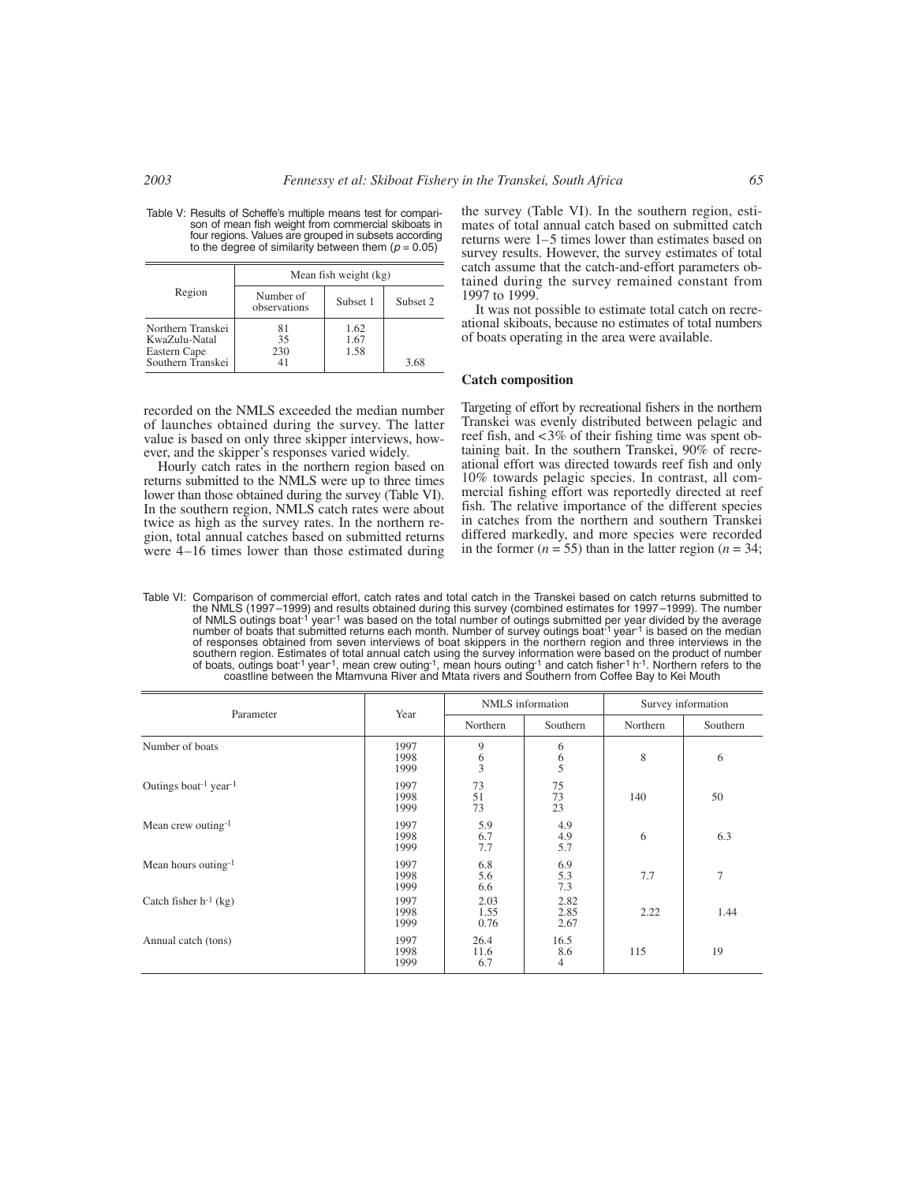| Table V: Results of Scheffe's multiple means test for compari- |  |
|----------------------------------------------------------------|--|
| son of mean fish weight from commercial skiboats in            |  |
| four regions. Values are grouped in subsets according          |  |
| to the degree of similarity between them $(p = 0.05)$          |  |

|                                                                         | Mean fish weight (kg)     |                      |          |  |  |  |  |  |
|-------------------------------------------------------------------------|---------------------------|----------------------|----------|--|--|--|--|--|
| Region                                                                  | Number of<br>observations | Subset 1             | Subset 2 |  |  |  |  |  |
| Northern Transkei<br>KwaZulu-Natal<br>Eastern Cape<br>Southern Transkei | 81<br>35<br>230           | 1.62<br>1.67<br>1.58 | 3.68     |  |  |  |  |  |

the survey (Table VI). In the southern region, estimates of total annual catch based on submitted catch returns were 1–5 times lower than estimates based on survey results. However, the survey estimates of total catch assume that the catch-and-effort parameters obtained during the survey remained constant from 1997 to 1999.

It was not possible to estimate total catch on recreational skiboats, because no estimates of total numbers of boats operating in the area were available.

#### **Catch composition**

recorded on the NMLS exceeded the median number of launches obtained during the survey. The latter value is based on only three skipper interviews, however, and the skipper's responses varied widely. Hourly catch rates in the northern region based on returns submitted to the NMLS were up to three times

lower than those obtained during the survey (Table VI). In the southern region, NMLS catch rates were about twice as high as the survey rates. In the northern region, total annual catches based on submitted returns were 4–16 times lower than those estimated during

Targeting of effort by recreational fishers in the northern Transkei was evenly distributed between pelagic and reef fish, and <3% of their fishing time was spent obtaining bait. In the southern Transkei, 90% of recreational effort was directed towards reef fish and only 10% towards pelagic species. In contrast, all commercial fishing effort was reportedly directed at reef fish. The relative importance of the different species in catches from the northern and southern Transkei differed markedly, and more species were recorded in the former ( $n = 55$ ) than in the latter region ( $n = 34$ ;

Table VI: Comparison of commercial effort, catch rates and total catch in the Transkei based on catch returns submitted to the NMLS (1997–1999) and results obtained during this survey (combined estimates for 1997–1999). The number<br>of NMLS outings boat<sup>-1</sup> year<sup>-1</sup> was based on the total number of outings submitted per year divided by the avera number of boats that submitted returns each month. Number of survey outings boat<sup>-1</sup> year<sup>-1</sup> is based on the median of responses obtained from seven interviews of boat skippers in the northern region and three interviews in the southern region. Estimates of total annual catch using the survey information were based on the product of number of boats, outings boat-1 year-1, mean crew outing-1, mean hours outing-1 and catch fisher-1 h-1. Northern refers to the coastline between the Mtamvuna River and Mtata rivers and Southern from Coffee Bay to Kei Mouth

| Parameter                                     | Year                 |                                            | NMLS information                           | Survey information |          |  |
|-----------------------------------------------|----------------------|--------------------------------------------|--------------------------------------------|--------------------|----------|--|
|                                               |                      | Northern                                   | Southern                                   | Northern           | Southern |  |
| Number of boats                               | 1997<br>1998<br>1999 | 9<br>$\begin{array}{c} 6 \\ 3 \end{array}$ | 6<br>$\begin{array}{c} 6 \\ 5 \end{array}$ | 8                  | 6        |  |
| Outings boat <sup>-1</sup> year <sup>-1</sup> | 1997<br>1998<br>1999 | 73<br>51<br>73                             | 75<br>73<br>23                             | 140                | 50       |  |
| Mean crew outing- $1$                         | 1997<br>1998<br>1999 | 5.9<br>6.7<br>7.7                          | 4.9<br>4.9<br>5.7                          | 6                  | 6.3      |  |
| Mean hours outing-1                           | 1997<br>1998<br>1999 | 6.8<br>5.6<br>6.6                          | 6.9<br>5.3<br>7.3                          | 7.7                | 7        |  |
| Catch fisher $h^{-1}$ (kg)                    | 1997<br>1998<br>1999 | 2.03<br>1.55<br>0.76                       | 2.82<br>2.85<br>2.67                       | 2.22               | 1.44     |  |
| Annual catch (tons)                           | 1997<br>1998<br>1999 | 26.4<br>11.6<br>6.7                        | 16.5<br>8.6<br>4                           | 115                | 19       |  |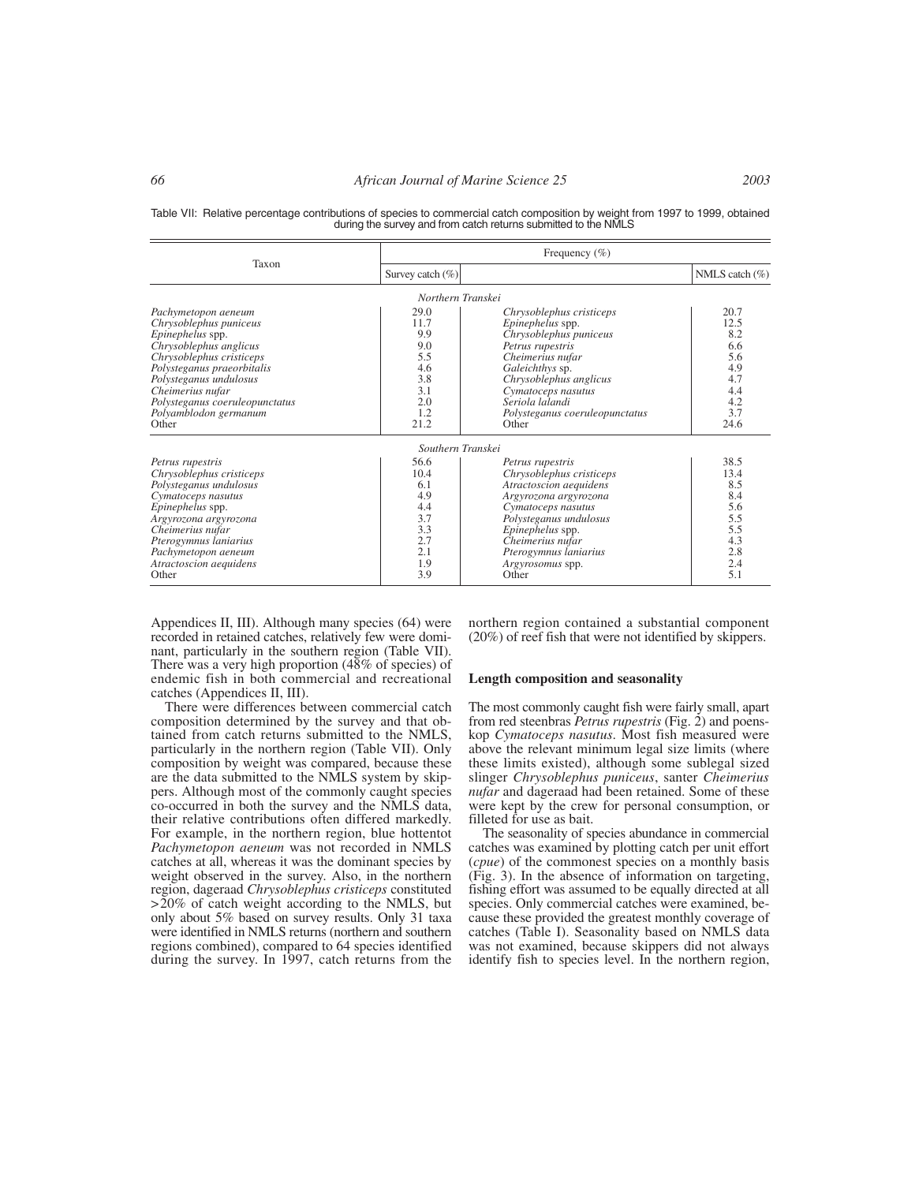Table VII: Relative percentage contributions of species to commercial catch composition by weight from 1997 to 1999, obtained during the survey and from catch returns submitted to the NMLS

|                                                                                                                                                                                                                                                                         | Frequency $(\% )$                                                            |                                                                                                                                                                                                                                                 |                                                                              |  |  |  |  |
|-------------------------------------------------------------------------------------------------------------------------------------------------------------------------------------------------------------------------------------------------------------------------|------------------------------------------------------------------------------|-------------------------------------------------------------------------------------------------------------------------------------------------------------------------------------------------------------------------------------------------|------------------------------------------------------------------------------|--|--|--|--|
| Taxon                                                                                                                                                                                                                                                                   | Survey catch $(\%)$                                                          |                                                                                                                                                                                                                                                 | NMLS catch $(\%)$                                                            |  |  |  |  |
|                                                                                                                                                                                                                                                                         | Northern Transkei                                                            |                                                                                                                                                                                                                                                 |                                                                              |  |  |  |  |
| Pachymetopon aeneum<br>Chrysoblephus puniceus<br>Epinephelus spp.<br>Chrysoblephus anglicus<br>Chrysoblephus cristiceps<br>Polysteganus praeorbitalis<br>Polysteganus undulosus<br>Cheimerius nufar<br>Polysteganus coeruleopunctatus<br>Polyamblodon germanum<br>Other | 29.0<br>11.7<br>9.9<br>9.0<br>5.5<br>4.6<br>3.8<br>3.1<br>2.0<br>1.2<br>21.2 | Chrysoblephus cristiceps<br>Epinephelus spp.<br>Chrysoblephus puniceus<br>Petrus rupestris<br>Cheimerius nufar<br>Galeichthys sp.<br>Chrysoblephus anglicus<br>Cymatoceps nasutus<br>Seriola lalandi<br>Polysteganus coeruleopunctatus<br>Other | 20.7<br>12.5<br>8.2<br>6.6<br>5.6<br>4.9<br>4.7<br>4.4<br>4.2<br>3.7<br>24.6 |  |  |  |  |
|                                                                                                                                                                                                                                                                         | Southern Transkei                                                            |                                                                                                                                                                                                                                                 |                                                                              |  |  |  |  |
| Petrus rupestris<br>Chrysoblephus cristiceps<br>Polysteganus undulosus<br>Cymatoceps nasutus<br>Epinephelus spp.<br>Argyrozona argyrozona<br>Cheimerius nufar<br>Pterogymnus laniarius<br>Pachymetopon aeneum<br>Atractoscion aequidens<br>Other                        | 56.6<br>10.4<br>6.1<br>4.9<br>4.4<br>3.7<br>3.3<br>2.7<br>2.1<br>1.9<br>3.9  | Petrus rupestris<br>Chrysoblephus cristiceps<br>Atractoscion aequidens<br>Argyrozona argyrozona<br>Cymatoceps nasutus<br>Polysteganus undulosus<br>Epinephelus spp.<br>Cheimerius nufar<br>Pterogymnus laniarius<br>Argyrosomus spp.<br>Other   | 38.5<br>13.4<br>8.5<br>8.4<br>5.6<br>5.5<br>5.5<br>4.3<br>2.8<br>2.4<br>5.1  |  |  |  |  |

Appendices II, III). Although many species (64) were recorded in retained catches, relatively few were dominant, particularly in the southern region (Table VII). There was a very high proportion (48% of species) of endemic fish in both commercial and recreational catches (Appendices II, III).

There were differences between commercial catch composition determined by the survey and that obtained from catch returns submitted to the NMLS, particularly in the northern region (Table VII). Only composition by weight was compared, because these are the data submitted to the NMLS system by skippers. Although most of the commonly caught species co-occurred in both the survey and the NMLS data, their relative contributions often differed markedly. For example, in the northern region, blue hottentot *Pachymetopon aeneum* was not recorded in NMLS catches at all, whereas it was the dominant species by weight observed in the survey. Also, in the northern region, dageraad *Chrysoblephus cristiceps* constituted  $>20\%$  of catch weight according to the NMLS, but only about 5% based on survey results. Only 31 taxa were identified in NMLS returns (northern and southern regions combined), compared to 64 species identified during the survey. In 1997, catch returns from the northern region contained a substantial component (20%) of reef fish that were not identified by skippers.

#### **Length composition and seasonality**

The most commonly caught fish were fairly small, apart from red steenbras *Petrus rupestris* (Fig. 2) and poenskop *Cymatoceps nasutus*. Most fish measured were above the relevant minimum legal size limits (where these limits existed), although some sublegal sized slinger *Chrysoblephus puniceus*, santer *Cheimerius nufar* and dageraad had been retained. Some of these were kept by the crew for personal consumption, or filleted for use as bait.

The seasonality of species abundance in commercial catches was examined by plotting catch per unit effort (*cpue*) of the commonest species on a monthly basis (Fig. 3). In the absence of information on targeting, fishing effort was assumed to be equally directed at all species. Only commercial catches were examined, because these provided the greatest monthly coverage of catches (Table I). Seasonality based on NMLS data was not examined, because skippers did not always identify fish to species level. In the northern region,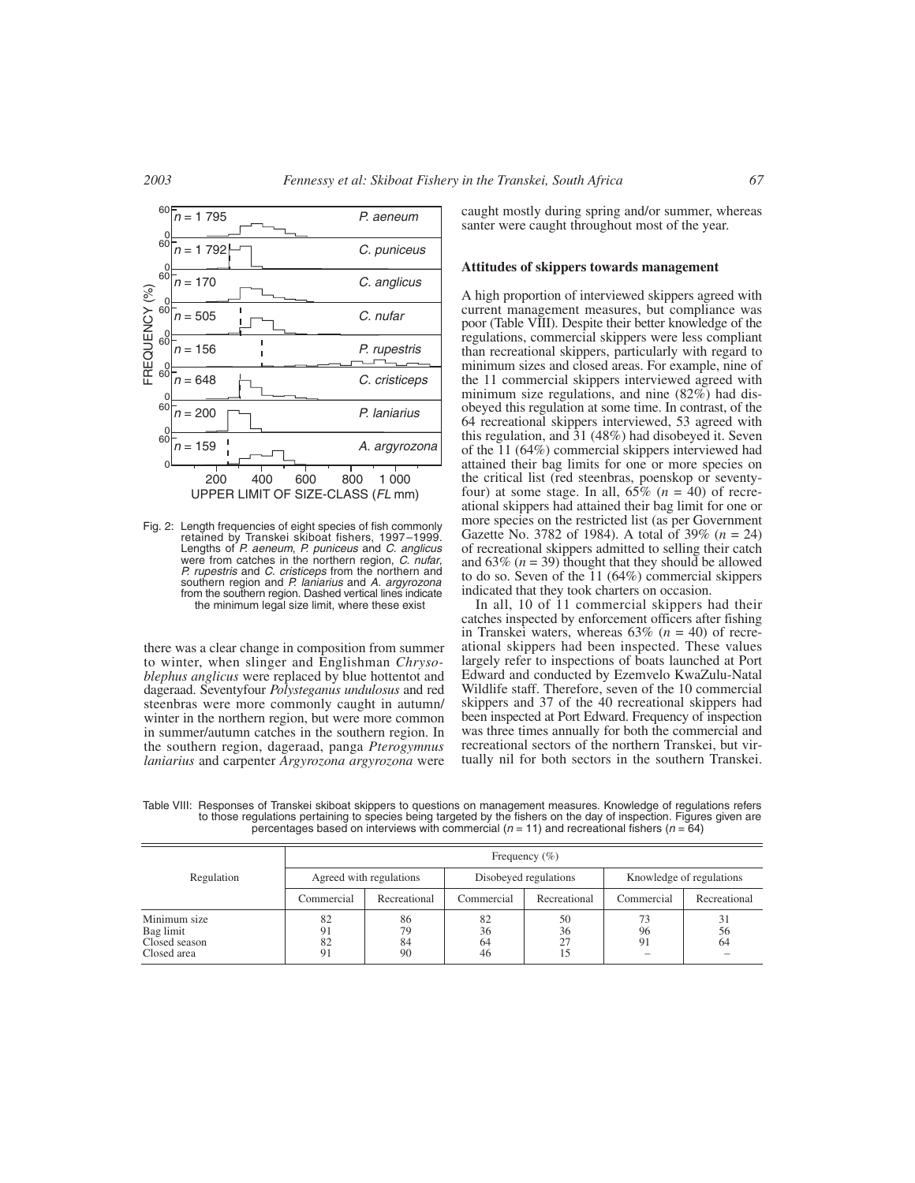

Fig. 2: Length frequencies of eight species of fish commonly<br>retained by Transkei skiboat fishers, 1997–1999.<br>Lengths of *P. aeneum, P. puniceus* and *C. anglicus* were from catches in the northern region, C. nufar, P. rupestris and C. cristiceps from the northern and southern region and P. laniarius and A. argyrozona from the southern region. Dashed vertical lines indicate the minimum legal size limit, where these exist

there was a clear change in composition from summer to winter, when slinger and Englishman *Chrysoblephus anglicus* were replaced by blue hottentot and dageraad. Seventyfour *Polysteganus undulosus* and red steenbras were more commonly caught in autumn/ winter in the northern region, but were more common in summer/autumn catches in the southern region. In the southern region, dageraad, panga *Pterogymnus laniarius* and carpenter *Argyrozona argyrozona* were

caught mostly during spring and/or summer, whereas santer were caught throughout most of the year.

#### **Attitudes of skippers towards management**

A high proportion of interviewed skippers agreed with current management measures, but compliance was poor (Table VIII). Despite their better knowledge of the regulations, commercial skippers were less compliant than recreational skippers, particularly with regard to minimum sizes and closed areas. For example, nine of the 11 commercial skippers interviewed agreed with minimum size regulations, and nine  $(82\%)$  had disobeyed this regulation at some time. In contrast, of the 64 recreational skippers interviewed, 53 agreed with this regulation, and 31 (48%) had disobeyed it. Seven of the 11 (64%) commercial skippers interviewed had attained their bag limits for one or more species on the critical list (red steenbras, poenskop or seventyfour) at some stage. In all,  $65\%$  ( $n = 40$ ) of recreational skippers had attained their bag limit for one or more species on the restricted list (as per Government Gazette No. 3782 of 1984). A total of 39% (*n* = 24) of recreational skippers admitted to selling their catch and  $63\%$  ( $n = 39$ ) thought that they should be allowed to do so. Seven of the 11 (64%) commercial skippers indicated that they took charters on occasion.

In all, 10 of 11 commercial skippers had their catches inspected by enforcement officers after fishing in Transkei waters, whereas 63% (*n* = 40) of recreational skippers had been inspected. These values largely refer to inspections of boats launched at Port Edward and conducted by Ezemvelo KwaZulu-Natal Wildlife staff. Therefore, seven of the 10 commercial skippers and 37 of the 40 recreational skippers had been inspected at Port Edward. Frequency of inspection was three times annually for both the commercial and recreational sectors of the northern Transkei, but virtually nil for both sectors in the southern Transkei.

Frequency (%) Regulation Agreed with regulations Disobeyed regulations Knowledge of regulations Commercial Recreational Commercial Recreational Commercial Recreational Minimum size | 82 | 86 | 82 | 50 | 73 | 31 Bag limit 191 79 36 36 96 56 Closed season (a) 82 84 64 27 91 64 64 Closed area  $91 \t 90 \t 46 \t 15 \t -$ 

Table VIII: Responses of Transkei skiboat skippers to questions on management measures. Knowledge of regulations refers to those regulations pertaining to species being targeted by the fishers on the day of inspection. Figures given are percentages based on interviews with commercial  $(n = 11)$  and recreational fishers  $(n = 64)$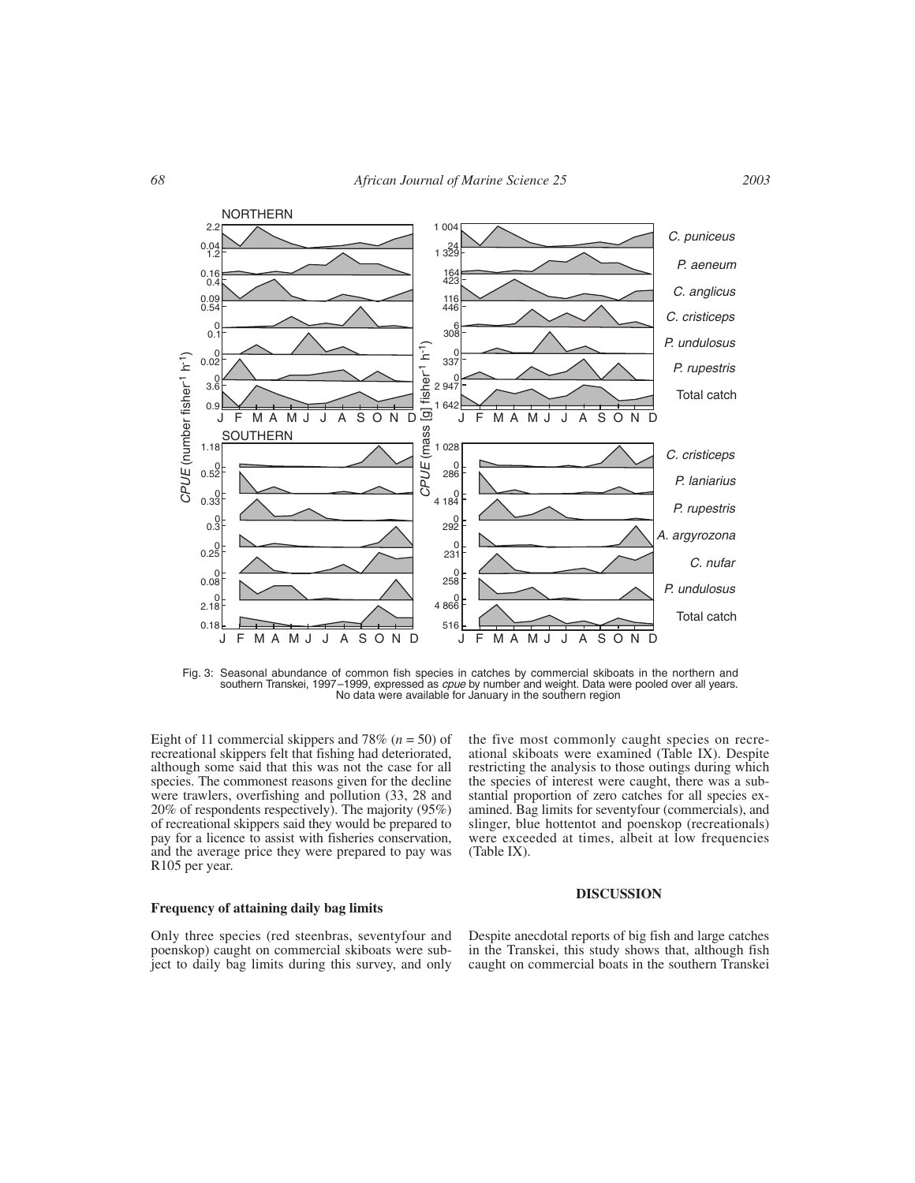

Fig. 3: Seasonal abundance of common fish species in catches by commercial skiboats in the northern and southern Transkei, 1997–1999, expressed as *cpue* by number and weight. Data were pooled over all years.<br>No data were available for January in the southern region

Eight of 11 commercial skippers and 78% (*n* = 50) of recreational skippers felt that fishing had deteriorated, although some said that this was not the case for all species. The commonest reasons given for the decline were trawlers, overfishing and pollution (33, 28 and 20% of respondents respectively). The majority (95%) of recreational skippers said they would be prepared to pay for a licence to assist with fisheries conservation, and the average price they were prepared to pay was R105 per year.

the five most commonly caught species on recreational skiboats were examined (Table IX). Despite restricting the analysis to those outings during which the species of interest were caught, there was a substantial proportion of zero catches for all species examined. Bag limits for seventyfour (commercials), and slinger, blue hottentot and poenskop (recreationals) were exceeded at times, albeit at low frequencies (Table IX).

# **Frequency of attaining daily bag limits**

# **DISCUSSION**

Only three species (red steenbras, seventyfour and poenskop) caught on commercial skiboats were subject to daily bag limits during this survey, and only Despite anecdotal reports of big fish and large catches in the Transkei, this study shows that, although fish caught on commercial boats in the southern Transkei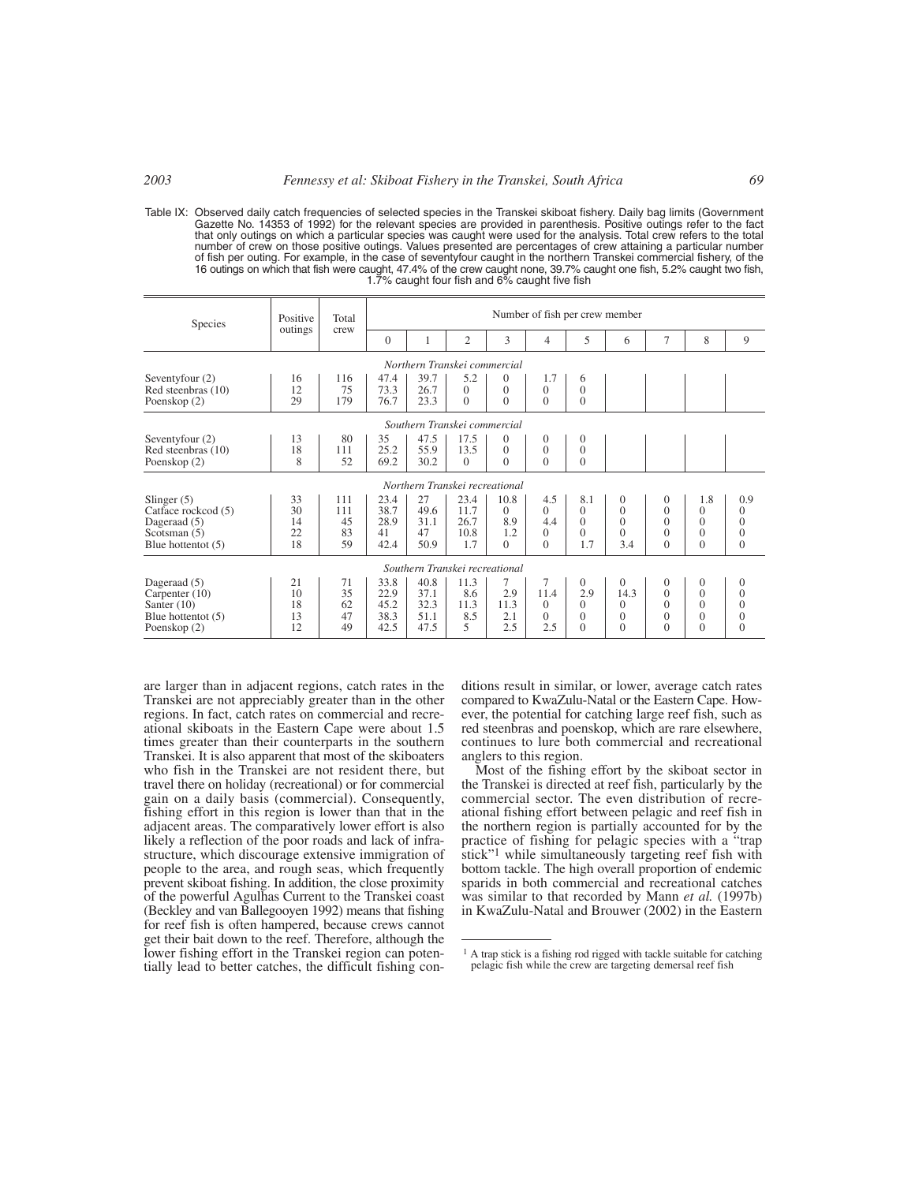Table IX: Observed daily catch frequencies of selected species in the Transkei skiboat fishery. Daily bag limits (Government Gazette No. 14353 of 1992) for the relevant species are provided in parenthesis. Positive outings refer to the fact that only outings on which a particular species was caught were used for the analysis. Total crew refers to the total number of crew on those positive outings. Values presented are percentages of crew attaining a particular number of fish per outing. For example, in the case of seventyfour caught in the northern Transkei commercial fishery, of the<br>16 outings on which that fish were caught, 47.4% of the crew caught none, 39.7% caught one fish, 5.2% c

| Species                                                                                      | Positive<br>Total<br>outings<br>crew |                              | Number of fish per crew member       |                                      |                                     |                                            |                                                |                                                           |                                                      |                                                              |                                                          |                                                                |
|----------------------------------------------------------------------------------------------|--------------------------------------|------------------------------|--------------------------------------|--------------------------------------|-------------------------------------|--------------------------------------------|------------------------------------------------|-----------------------------------------------------------|------------------------------------------------------|--------------------------------------------------------------|----------------------------------------------------------|----------------------------------------------------------------|
|                                                                                              |                                      |                              | $\Omega$                             | 1                                    | $\overline{2}$                      | 3                                          | 4                                              | 5                                                         | 6                                                    | 7                                                            | 8                                                        | 9                                                              |
|                                                                                              | Northern Transkei commercial         |                              |                                      |                                      |                                     |                                            |                                                |                                                           |                                                      |                                                              |                                                          |                                                                |
| Seventyfour (2)<br>Red steenbras (10)<br>Poenskop (2)                                        | 16<br>12<br>29                       | 116<br>75<br>179             | 47.4<br>73.3<br>76.7                 | 39.7<br>26.7<br>23.3                 | 5.2<br>$\Omega$<br>$\Omega$         | $\mathbf{0}$<br>$\theta$<br>$\theta$       | 1.7<br>$\Omega$<br>$\Omega$                    | 6<br>$\overline{0}$<br>$\Omega$                           |                                                      |                                                              |                                                          |                                                                |
| Southern Transkei commercial                                                                 |                                      |                              |                                      |                                      |                                     |                                            |                                                |                                                           |                                                      |                                                              |                                                          |                                                                |
| Seventyfour (2)<br>Red steenbras (10)<br>Poenskop (2)                                        | 13<br>18<br>8                        | 80<br>111<br>52              | 35<br>25.2<br>69.2                   | 47.5<br>55.9<br>30.2                 | 17.5<br>13.5<br>$\Omega$            | $\theta$<br>$\overline{0}$<br>$\Omega$     | $\overline{0}$<br>$\overline{0}$<br>$\Omega$   | $\overline{0}$<br>$\overline{0}$<br>$\Omega$              |                                                      |                                                              |                                                          |                                                                |
|                                                                                              |                                      |                              |                                      | Northern Transkei recreational       |                                     |                                            |                                                |                                                           |                                                      |                                                              |                                                          |                                                                |
| Slinger $(5)$<br>Catface rockcod (5)<br>Dageraad (5)<br>Scotsman $(5)$<br>Blue hottent $(5)$ | 33<br>30<br>14<br>22<br>18           | 111<br>111<br>45<br>83<br>59 | 23.4<br>38.7<br>28.9<br>41<br>42.4   | 27<br>49.6<br>31.1<br>47<br>50.9     | 23.4<br>11.7<br>26.7<br>10.8<br>1.7 | 10.8<br>$\Omega$<br>8.9<br>1.2<br>$\Omega$ | 4.5<br>$\Omega$<br>4.4<br>$\Omega$<br>$\Omega$ | 8.1<br>$\Omega$<br>$\Omega$<br>$\Omega$<br>1.7            | $\theta$<br>$\theta$<br>$\theta$<br>$\theta$<br>3.4  | $\theta$<br>$\Omega$<br>$\Omega$<br>$\Omega$<br>$\Omega$     | 1.8<br>$\theta$<br>$\Omega$<br>$\Omega$<br>$\Omega$      | 0.9<br>$\Omega$<br>$\theta$<br>$\Omega$<br>$\theta$            |
|                                                                                              |                                      |                              |                                      | Southern Transkei recreational       |                                     |                                            |                                                |                                                           |                                                      |                                                              |                                                          |                                                                |
| Dageraad (5)<br>Carpenter $(10)$<br>Santer $(10)$<br>Blue hottent $(5)$<br>Poenskop (2)      | 21<br>10<br>18<br>13<br>12           | 71<br>35<br>62<br>47<br>49   | 33.8<br>22.9<br>45.2<br>38.3<br>42.5 | 40.8<br>37.1<br>32.3<br>51.1<br>47.5 | 11.3<br>8.6<br>11.3<br>8.5<br>5     | 7<br>2.9<br>11.3<br>2.1<br>2.5             | 7<br>11.4<br>$\Omega$<br>$\Omega$<br>2.5       | $\overline{0}$<br>2.9<br>$\Omega$<br>$\Omega$<br>$\Omega$ | $\Omega$<br>14.3<br>$\Omega$<br>$\Omega$<br>$\Omega$ | $\mathbf{0}$<br>$\Omega$<br>$\Omega$<br>$\Omega$<br>$\Omega$ | $\Omega$<br>$\Omega$<br>$\Omega$<br>$\Omega$<br>$\Omega$ | $\overline{0}$<br>$\theta$<br>$\Omega$<br>$\Omega$<br>$\Omega$ |

are larger than in adjacent regions, catch rates in the Transkei are not appreciably greater than in the other regions. In fact, catch rates on commercial and recreational skiboats in the Eastern Cape were about 1.5 times greater than their counterparts in the southern Transkei. It is also apparent that most of the skiboaters who fish in the Transkei are not resident there, but travel there on holiday (recreational) or for commercial gain on a daily basis (commercial). Consequently, fishing effort in this region is lower than that in the adjacent areas. The comparatively lower effort is also likely a reflection of the poor roads and lack of infrastructure, which discourage extensive immigration of people to the area, and rough seas, which frequently prevent skiboat fishing. In addition, the close proximity of the powerful Agulhas Current to the Transkei coast (Beckley and van Ballegooyen 1992) means that fishing for reef fish is often hampered, because crews cannot get their bait down to the reef. Therefore, although the lower fishing effort in the Transkei region can potentially lead to better catches, the difficult fishing conditions result in similar, or lower, average catch rates compared to KwaZulu-Natal or the Eastern Cape. However, the potential for catching large reef fish, such as red steenbras and poenskop, which are rare elsewhere, continues to lure both commercial and recreational anglers to this region.

Most of the fishing effort by the skiboat sector in the Transkei is directed at reef fish, particularly by the commercial sector. The even distribution of recreational fishing effort between pelagic and reef fish in the northern region is partially accounted for by the practice of fishing for pelagic species with a "trap stick"<sup>1</sup> while simultaneously targeting reef fish with bottom tackle. The high overall proportion of endemic sparids in both commercial and recreational catches was similar to that recorded by Mann *et al.* (1997b) in KwaZulu-Natal and Brouwer (2002) in the Eastern

<sup>&</sup>lt;sup>1</sup> A trap stick is a fishing rod rigged with tackle suitable for catching pelagic fish while the crew are targeting demersal reef fish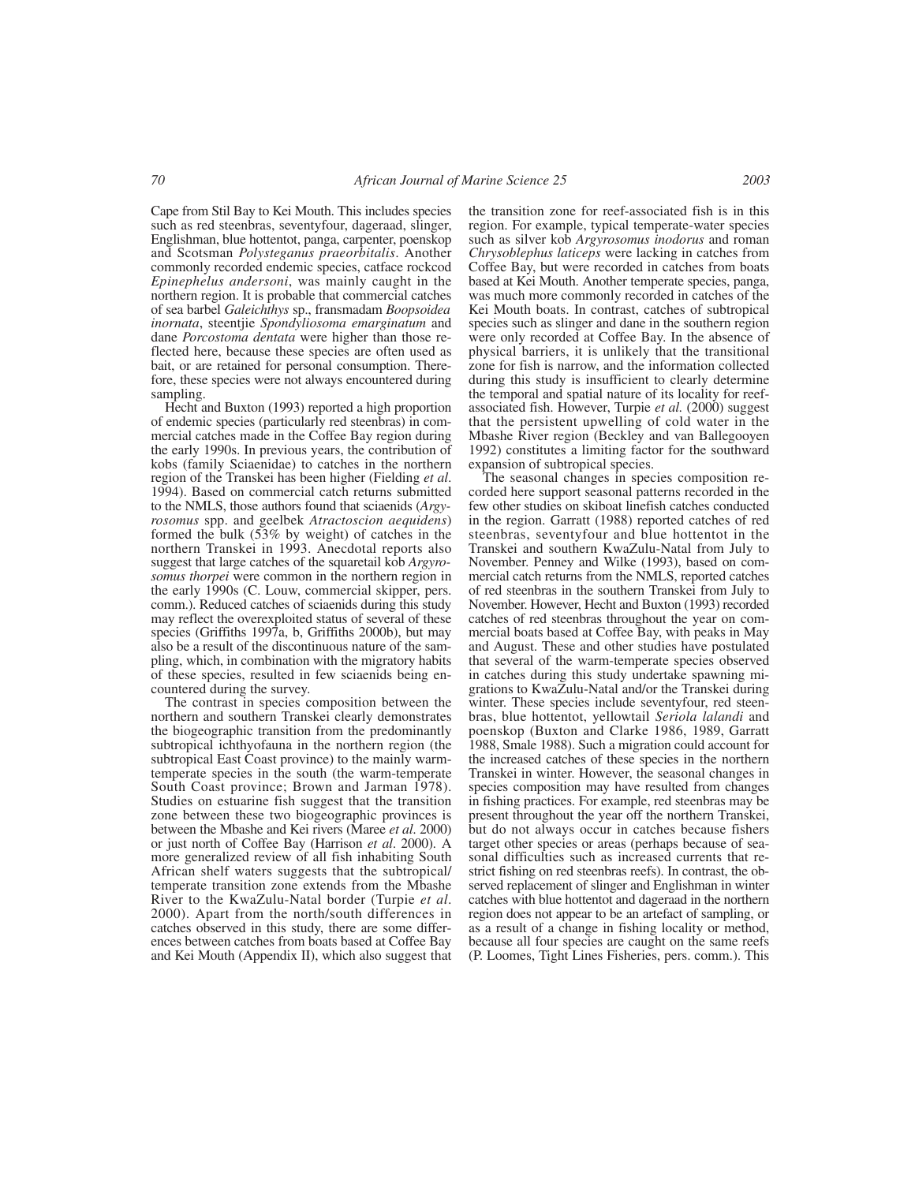Cape from Stil Bay to Kei Mouth. This includes species such as red steenbras, seventyfour, dageraad, slinger, Englishman, blue hottentot, panga, carpenter, poenskop and Scotsman *Polysteganus praeorbitalis*. Another commonly recorded endemic species, catface rockcod *Epinephelus andersoni*, was mainly caught in the northern region. It is probable that commercial catches of sea barbel *Galeichthys* sp., fransmadam *Boopsoidea inornata*, steentjie *Spondyliosoma emarginatum* and dane *Porcostoma dentata* were higher than those reflected here, because these species are often used as bait, or are retained for personal consumption. Therefore, these species were not always encountered during sampling.

Hecht and Buxton (1993) reported a high proportion of endemic species (particularly red steenbras) in commercial catches made in the Coffee Bay region during the early 1990s. In previous years, the contribution of kobs (family Sciaenidae) to catches in the northern region of the Transkei has been higher (Fielding *et al*. 1994). Based on commercial catch returns submitted to the NMLS, those authors found that sciaenids (*Argyrosomus* spp. and geelbek *Atractoscion aequidens*) formed the bulk (53% by weight) of catches in the northern Transkei in 1993. Anecdotal reports also suggest that large catches of the squaretail kob *Argyrosomus thorpei* were common in the northern region in the early 1990s (C. Louw, commercial skipper, pers. comm.). Reduced catches of sciaenids during this study may reflect the overexploited status of several of these species (Griffiths 1997a, b, Griffiths 2000b), but may also be a result of the discontinuous nature of the sampling, which, in combination with the migratory habits of these species, resulted in few sciaenids being encountered during the survey.

The contrast in species composition between the northern and southern Transkei clearly demonstrates the biogeographic transition from the predominantly subtropical ichthyofauna in the northern region (the subtropical East Coast province) to the mainly warmtemperate species in the south (the warm-temperate South Coast province; Brown and Jarman 1978). Studies on estuarine fish suggest that the transition zone between these two biogeographic provinces is between the Mbashe and Kei rivers (Maree *et al*. 2000) or just north of Coffee Bay (Harrison *et al*. 2000). A more generalized review of all fish inhabiting South African shelf waters suggests that the subtropical/ temperate transition zone extends from the Mbashe River to the KwaZulu-Natal border (Turpie *et al*. 2000). Apart from the north/south differences in catches observed in this study, there are some differences between catches from boats based at Coffee Bay and Kei Mouth (Appendix II), which also suggest that the transition zone for reef-associated fish is in this region. For example, typical temperate-water species such as silver kob *Argyrosomus inodorus* and roman *Chrysoblephus laticeps* were lacking in catches from Coffee Bay, but were recorded in catches from boats based at Kei Mouth. Another temperate species, panga, was much more commonly recorded in catches of the Kei Mouth boats. In contrast, catches of subtropical species such as slinger and dane in the southern region were only recorded at Coffee Bay. In the absence of physical barriers, it is unlikely that the transitional zone for fish is narrow, and the information collected during this study is insufficient to clearly determine the temporal and spatial nature of its locality for reefassociated fish. However, Turpie *et al.* (2000) suggest that the persistent upwelling of cold water in the Mbashe River region (Beckley and van Ballegooyen 1992) constitutes a limiting factor for the southward expansion of subtropical species.

The seasonal changes in species composition recorded here support seasonal patterns recorded in the few other studies on skiboat linefish catches conducted in the region. Garratt (1988) reported catches of red steenbras, seventyfour and blue hottentot in the Transkei and southern KwaZulu-Natal from July to November. Penney and Wilke (1993), based on commercial catch returns from the NMLS, reported catches of red steenbras in the southern Transkei from July to November. However, Hecht and Buxton (1993) recorded catches of red steenbras throughout the year on commercial boats based at Coffee Bay, with peaks in May and August. These and other studies have postulated that several of the warm-temperate species observed in catches during this study undertake spawning migrations to KwaZulu-Natal and/or the Transkei during winter. These species include seventyfour, red steenbras, blue hottentot, yellowtail *Seriola lalandi* and poenskop (Buxton and Clarke 1986, 1989, Garratt 1988, Smale 1988). Such a migration could account for the increased catches of these species in the northern Transkei in winter. However, the seasonal changes in species composition may have resulted from changes in fishing practices. For example, red steenbras may be present throughout the year off the northern Transkei, but do not always occur in catches because fishers target other species or areas (perhaps because of seasonal difficulties such as increased currents that restrict fishing on red steenbras reefs). In contrast, the observed replacement of slinger and Englishman in winter catches with blue hottentot and dageraad in the northern region does not appear to be an artefact of sampling, or as a result of a change in fishing locality or method, because all four species are caught on the same reefs (P. Loomes, Tight Lines Fisheries, pers. comm.). This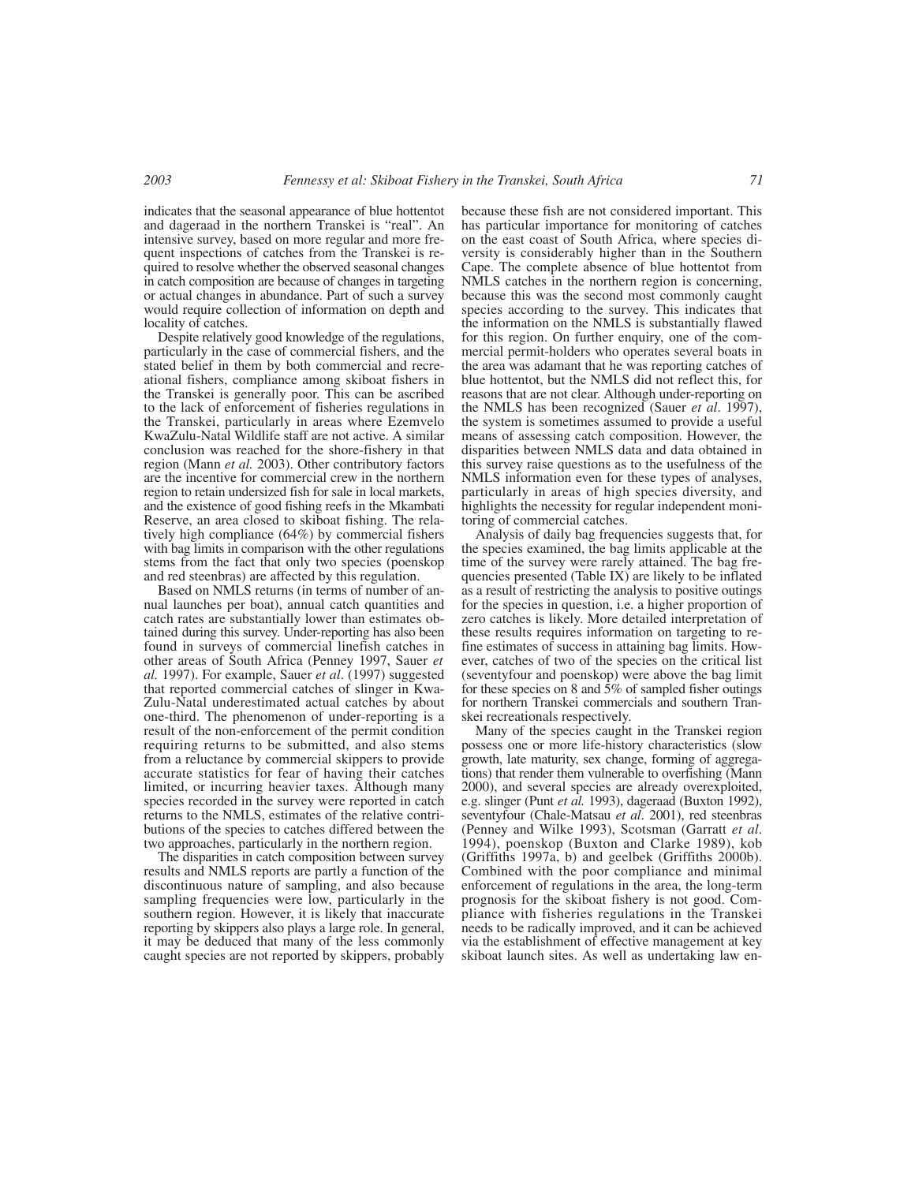indicates that the seasonal appearance of blue hottentot and dageraad in the northern Transkei is "real". An intensive survey, based on more regular and more frequent inspections of catches from the Transkei is required to resolve whether the observed seasonal changes in catch composition are because of changes in targeting or actual changes in abundance. Part of such a survey would require collection of information on depth and locality of catches.

Despite relatively good knowledge of the regulations, particularly in the case of commercial fishers, and the stated belief in them by both commercial and recreational fishers, compliance among skiboat fishers in the Transkei is generally poor. This can be ascribed to the lack of enforcement of fisheries regulations in the Transkei, particularly in areas where Ezemvelo KwaZulu-Natal Wildlife staff are not active. A similar conclusion was reached for the shore-fishery in that region (Mann *et al.* 2003). Other contributory factors are the incentive for commercial crew in the northern region to retain undersized fish for sale in local markets, and the existence of good fishing reefs in the Mkambati Reserve, an area closed to skiboat fishing. The relatively high compliance (64%) by commercial fishers with bag limits in comparison with the other regulations stems from the fact that only two species (poenskop and red steenbras) are affected by this regulation.

Based on NMLS returns (in terms of number of annual launches per boat), annual catch quantities and catch rates are substantially lower than estimates obtained during this survey. Under-reporting has also been found in surveys of commercial linefish catches in other areas of South Africa (Penney 1997, Sauer *et al.* 1997). For example, Sauer *et al*. (1997) suggested that reported commercial catches of slinger in Kwa-Zulu-Natal underestimated actual catches by about one-third. The phenomenon of under-reporting is a result of the non-enforcement of the permit condition requiring returns to be submitted, and also stems from a reluctance by commercial skippers to provide accurate statistics for fear of having their catches limited, or incurring heavier taxes. Although many species recorded in the survey were reported in catch returns to the NMLS, estimates of the relative contributions of the species to catches differed between the two approaches, particularly in the northern region.

The disparities in catch composition between survey results and NMLS reports are partly a function of the discontinuous nature of sampling, and also because sampling frequencies were low, particularly in the southern region. However, it is likely that inaccurate reporting by skippers also plays a large role. In general, it may be deduced that many of the less commonly caught species are not reported by skippers, probably

because these fish are not considered important. This has particular importance for monitoring of catches on the east coast of South Africa, where species diversity is considerably higher than in the Southern Cape. The complete absence of blue hottentot from NMLS catches in the northern region is concerning, because this was the second most commonly caught species according to the survey. This indicates that the information on the NMLS is substantially flawed for this region. On further enquiry, one of the commercial permit-holders who operates several boats in the area was adamant that he was reporting catches of blue hottentot, but the NMLS did not reflect this, for reasons that are not clear. Although under-reporting on the NMLS has been recognized (Sauer *et al*. 1997), the system is sometimes assumed to provide a useful means of assessing catch composition. However, the disparities between NMLS data and data obtained in this survey raise questions as to the usefulness of the NMLS information even for these types of analyses, particularly in areas of high species diversity, and highlights the necessity for regular independent monitoring of commercial catches.

Analysis of daily bag frequencies suggests that, for the species examined, the bag limits applicable at the time of the survey were rarely attained. The bag frequencies presented (Table IX) are likely to be inflated as a result of restricting the analysis to positive outings for the species in question, i.e. a higher proportion of zero catches is likely. More detailed interpretation of these results requires information on targeting to refine estimates of success in attaining bag limits. However, catches of two of the species on the critical list (seventyfour and poenskop) were above the bag limit for these species on 8 and  $\overline{5}\%$  of sampled fisher outings for northern Transkei commercials and southern Transkei recreationals respectively.

Many of the species caught in the Transkei region possess one or more life-history characteristics (slow growth, late maturity, sex change, forming of aggregations) that render them vulnerable to overfishing (Mann 2000), and several species are already overexploited, e.g. slinger (Punt *et al.* 1993), dageraad (Buxton 1992), seventyfour (Chale-Matsau *et al*. 2001), red steenbras (Penney and Wilke 1993), Scotsman (Garratt *et al*. 1994), poenskop (Buxton and Clarke 1989), kob (Griffiths 1997a, b) and geelbek (Griffiths 2000b). Combined with the poor compliance and minimal enforcement of regulations in the area, the long-term prognosis for the skiboat fishery is not good. Compliance with fisheries regulations in the Transkei needs to be radically improved, and it can be achieved via the establishment of effective management at key skiboat launch sites. As well as undertaking law en-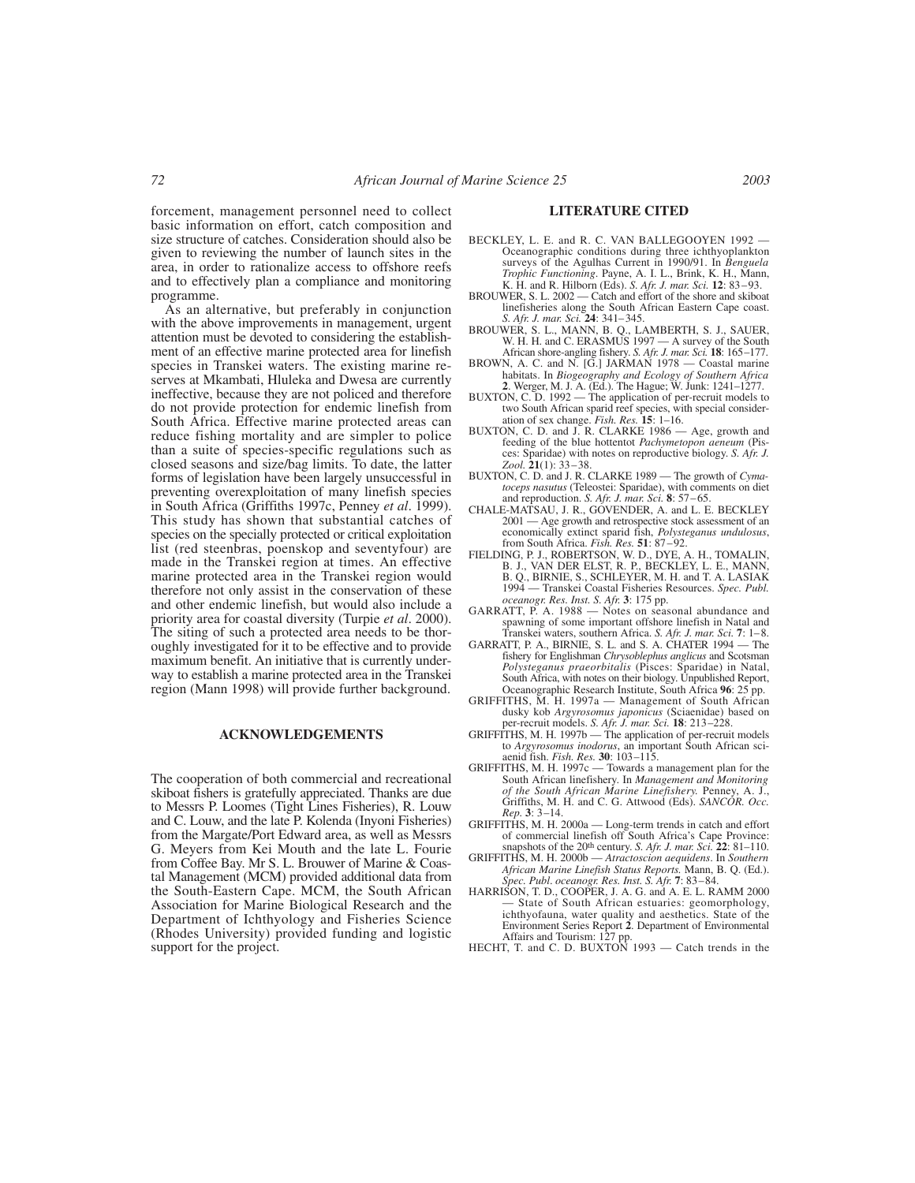forcement, management personnel need to collect basic information on effort, catch composition and size structure of catches. Consideration should also be given to reviewing the number of launch sites in the area, in order to rationalize access to offshore reefs and to effectively plan a compliance and monitoring programme.

As an alternative, but preferably in conjunction with the above improvements in management, urgent attention must be devoted to considering the establishment of an effective marine protected area for linefish species in Transkei waters. The existing marine reserves at Mkambati, Hluleka and Dwesa are currently ineffective, because they are not policed and therefore do not provide protection for endemic linefish from South Africa. Effective marine protected areas can reduce fishing mortality and are simpler to police than a suite of species-specific regulations such as closed seasons and size/bag limits. To date, the latter forms of legislation have been largely unsuccessful in preventing overexploitation of many linefish species in South Africa (Griffiths 1997c, Penney *et al*. 1999). This study has shown that substantial catches of species on the specially protected or critical exploitation list (red steenbras, poenskop and seventyfour) are made in the Transkei region at times. An effective marine protected area in the Transkei region would therefore not only assist in the conservation of these and other endemic linefish, but would also include a priority area for coastal diversity (Turpie *et al*. 2000). The siting of such a protected area needs to be thoroughly investigated for it to be effective and to provide maximum benefit. An initiative that is currently underway to establish a marine protected area in the Transkei region (Mann 1998) will provide further background.

#### **ACKNOWLEDGEMENTS**

The cooperation of both commercial and recreational skiboat fishers is gratefully appreciated. Thanks are due to Messrs P. Loomes (Tight Lines Fisheries), R. Louw and C. Louw, and the late P. Kolenda (Inyoni Fisheries) from the Margate/Port Edward area, as well as Messrs G. Meyers from Kei Mouth and the late L. Fourie from Coffee Bay. Mr S. L. Brouwer of Marine & Coastal Management (MCM) provided additional data from the South-Eastern Cape. MCM, the South African Association for Marine Biological Research and the Department of Ichthyology and Fisheries Science (Rhodes University) provided funding and logistic support for the project.

# **LITERATURE CITED**

- BECKLEY, L. E. and R. C. VAN BALLEGOOYEN 1992 Oceanographic conditions during three ichthyoplankton surveys of the Agulhas Current in 1990/91. In *Benguela Trophic Functioning*. Payne, A. I. L., Brink, K. H., Mann, K. H. and R. Hilborn (Eds). *S. Afr. J. mar. Sci.* **12**: 83–93.
- BROUWER, S. L. 2002 Catch and effort of the shore and skiboat linefisheries along the South African Eastern Cape coast. *S. Afr. J. mar. Sci.* **24**: 341–345.
- BROUWER, S. L., MANN, B. Q., LAMBERTH, S. J., SAUER,<br>W. H. H. and C. ERASMUS 1997 A survey of the South<br>African shore-angling fishery. S. Afr. J. mar. Sci. 18. 165–177.<br>BROWN, A. C. and N. [G.] JARMAN 1978 Coastal mari
- **2**. Werger, M. J. A. (Ed.). The Hague; W. Junk: 1241–1277.
- BUXTON, C. D. 1992 The application of per-recruit models to two South African sparid reef species, with special consider-
- ation of sex change. *Fish. Res.* **15**: 1–16. BUXTON, C. D. and J. R. CLARKE 1986 Age, growth and feeding of the blue hottentot *Pachymetopon aeneum* (Pisces: Sparidae) with notes on reproductive biology. *S. Afr. J. Zool.* **21**(1): 33–38.
- BUXTON, C. D. and J. R. CLARKE 1989 The growth of *Cymatoceps nasutus* (Teleostei: Sparidae), with comments on diet and reproduction. *S. Afr. J. mar. Sci.* **8**: 57–65. CHALE-MATSAU, J. R., GOVENDER, A. and L. E. BECKLEY
- 2001 Age growth and retrospective stock assessment of an economically extinct sparid fish, *Polysteganus undulosus*, from South Africa. *Fish. Res.* **51**: 87–92.
- FIELDING, P. J., ROBERTSON, W. D., DYE, A. H., TOMALIN, B. J., VAN DER ELST, R. P., BECKLEY, L. E., MANN, B. Q., BIRNIE, S., SCHLEYER, M. H. and T. A. LASIAK 1994 — Transkei Coastal Fisheries Resources. *Spec. Publ.*
- *oceanogr. Res. Inst. S. Afr.* **3**: 175 pp. GARRATT, P. A. 1988 Notes on seasonal abundance and spawning of some important offshore linefish in Natal and Transkei waters, southern Africa. *S. Afr. J. mar. Sci.* **7**: 1–8.
- GARRATT, P. A., BIRNIE, S. L. and S. A. CHATER 1994 The fishery for Englishman *Chrysoblephus anglicus* and Scotsman *Polysteganus praeorbitalis* (Pisces: Sparidae) in Natal, South Africa, with notes on their biology. Unpublished Report, Oceanographic Research Institute, South Africa **96**: 25 pp.
- GRIFFITHS, M. H. 1997a Management of South African dusky kob *Argyrosomus japonicus* (Sciaenidae) based on
- per-recruit models. *S. Afr. J. mar. Sci.* **18**: 213–228.<br>GRIFFITHS, M. H. 1997b The application of per-recruit models<br>to *Argyrosomus inodorus*, an important South African sciaenid fish. *Fish. Res.* **30**: 103–115.
- GRIFFITHS, M. H. 1997c Towards a management plan for the South African linefishery. In *Management and Monitoring of the South African Marine Linefishery.* Penney, A. J., Griffiths, M. H. and C. G. Attwood (Eds). *SANCOR. Occ. Rep.* **3**:  $3-14$ .<br>**GRIFFITHS, M. H. 2000a** –
- Long-term trends in catch and effort of commercial linefish off South Africa's Cape Province:
- snapshots of the 20th century. *S. Afr. J. mar. Sci.* **22**: 81–110. GRIFFITHS, M. H. 2000b *Atractoscion aequidens*. In *Southern African Marine Linefish Status Reports.* Mann, B. Q. (Ed.). *Spec. Publ*. *oceanogr. Res. Inst. S. Afr.* **7**: 83–84.
- HARRISON, T. D., COOPER, J. A. G. and A. E. L. RAMM 2000 State of South African estuaries: geomorphology, ichthyofauna, water quality and aesthetics. State of the Environment Series Report **2**. Department of Environmental
- Affairs and Tourism: 127 pp. HECHT, T. and C. D. BUXTON 1993 Catch trends in the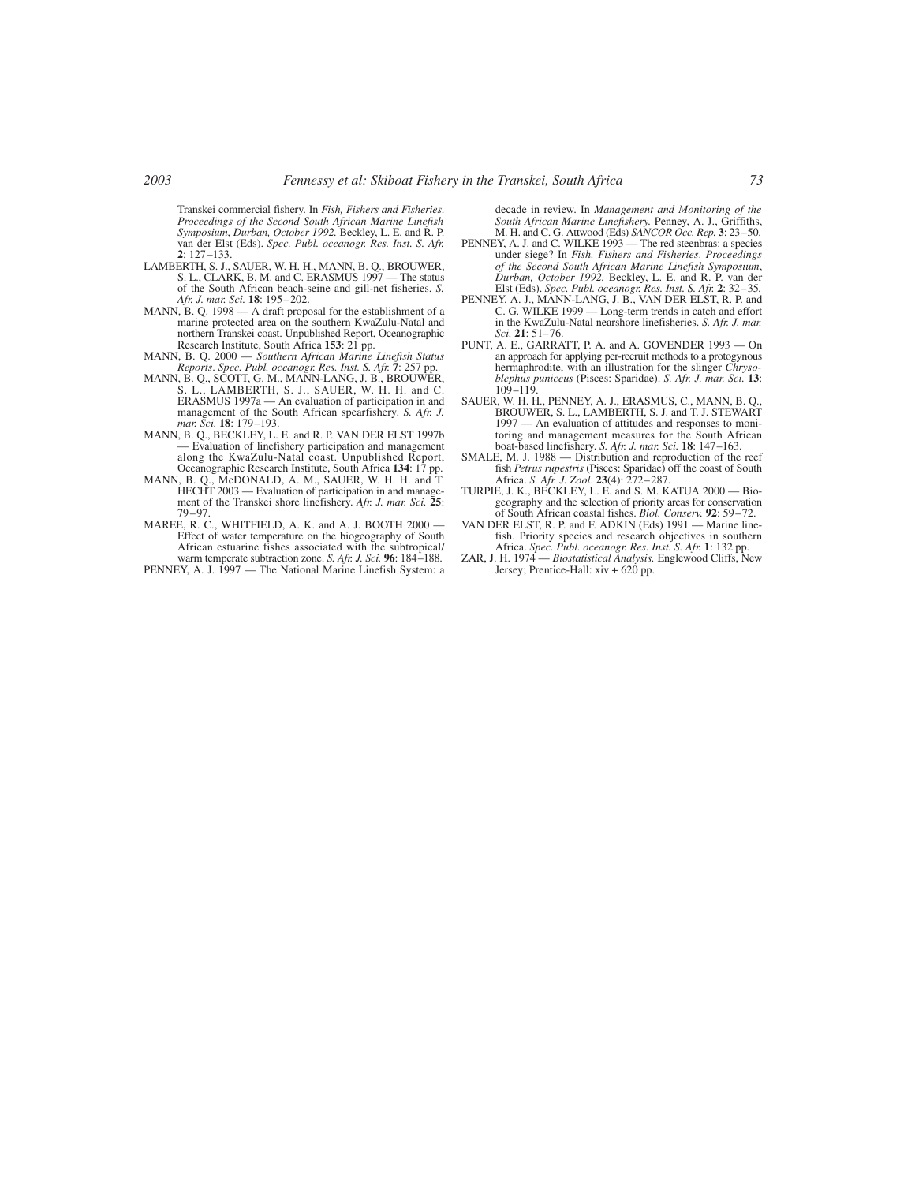Transkei commercial fishery. In *Fish, Fishers and Fisheries*. *Proceedings of the Second South African Marine Linefish Symposium*, *Durban, October 1992.* Beckley, L. E. and R. P. van der Elst (Eds). *Spec. Publ. oceanogr. Res. Inst. S. Afr.* **2**: 127–133.

- LAMBERTH, S. J., SAUER, W. H. H., MANN, B. Q., BROUWER, S. L., CLARK, B. M. and C. ERASMUS 1997 The status of the South African beach-seine and gill-net fisheries. *S. Afr. J. mar. Sci.* **18**: 195–202.
- MANN, B. Q. 1998 A draft proposal for the establishment of a marine protected area on the southern KwaZulu-Natal and northern Transkei coast. Unpublished Report, Oceanographic Research Institute, South Africa **153**: 21 pp.
- MANN, B. Q. 2000 *Southern African Marine Linefish Status Reports*. *Spec. Publ. oceanogr. Res. Inst. S. Afr.* **7**: 257 pp.
- MANN, B. Q., SCOTT, G. M., MANN-LANG, J. B., BROUWER, S. L., LAMBERTH, S. J., SAUER, W. H. H. and C. ERASMUS 1997a — An evaluation of participation in and management of the South African spearfishery. *S. Afr. J. mar. Sci.* **18**: 179–193.
- MANN, B. O., BECKLEY, L. E. and R. P. VAN DER ELST 1997b — Evaluation of linefishery participation and management along the KwaZulu-Natal coast. Unpublished Report, Oceanographic Research Institute, South Africa 134: 17
- MANN, B. Q., McDONALD, A. M., SAUER, W. H. H. and T. HECHT 2003 — Evaluation of participation in and management of the Transkei shore linefishery. *Afr. J. mar. Sci.* **25**: 79–97.
- MAREE, R. C., WHITFIELD, A. K. and A. J. BOOTH 2000 Effect of water temperature on the biogeography of South African estuarine fishes associated with the subtropical/ warm temperate subtraction zone. *S. Afr. J. Sci.* **96**: 184–188.
- PENNEY, A. J. 1997 The National Marine Linefish System: a

decade in review. In *Management and Monitoring of the South African Marine Linefishery.* Penney, A. J., Griffiths, M. H. and C. G. Attwood (Eds) *SANCOR Occ. Rep.* **3**: 23–50.

- PENNEY, A. J. and C. WILKE 1993 The red steenbras: a species under siege? In *Fish, Fishers and Fisheries*. *Proceedings* of the Second South African Marine Linefish Symposium,<br>Durban, October 1992. Beckley, L. E. and R. P. van der<br>Elst (Eds). Spec. Publ. oceanogr. Res. Inst. S. Afr. 2: 32–35.<br>PENNEY, A. J., MANN-LANG, J. B., VAN DER ELST, R.
- C. G. WILKE 1999 Long-term trends in catch and effort in the KwaZulu-Natal nearshore linefisheries. *S. Afr. J. mar. Sci.* **21**: 51–76.
- PUNT, A. E., GARRATT, P. A. and A. GOVENDER 1993 On an approach for applying per-recruit methods to a protogynous hermaphrodite, with an illustration for the slinger *Chrysoblephus puniceus* (Pisces: Sparidae). *S. Afr. J. mar. Sci.* **13**:  $109 - 119$
- SAUER, W. H. H., PENNEY, A. J., ERASMUS, C., MANN, B. Q., BROUWER, S. L., LAMBERTH, S. J. and T. J. STEWART 1997 — An evaluation of attitudes and responses to monitoring and management measures for the South African boat-based linefishery. *S. Afr. J. mar. Sci.* **18**: 147–163.
- SMALE, M. J. 1988 Distribution and reproduction of the reef fish *Petrus rupestris* (Pisces: Sparidae) off the coast of South Africa. *S. Afr. J. Zool*. **23**(4): 272–287.
- TURPIE, J. K., BECKLEY, L. E. and S. M. KATUA 2000 Biogeography and the selection of priority areas for conservation of South African coastal fishes. *Biol. Conserv.* **92**: 59–72.
- VAN DER ELST, R. P. and F. ADKIN (Eds) 1991 Marine linefish. Priority species and research objectives in southern Africa. *Spec. Publ. oceanogr. Res. Inst. S. Afr.* **1**: 132 pp.
- ZAR, J. H. 1974 *Biostatistical Analysis.* Englewood Cliffs, New Jersey; Prentice-Hall: xiv + 620 pp.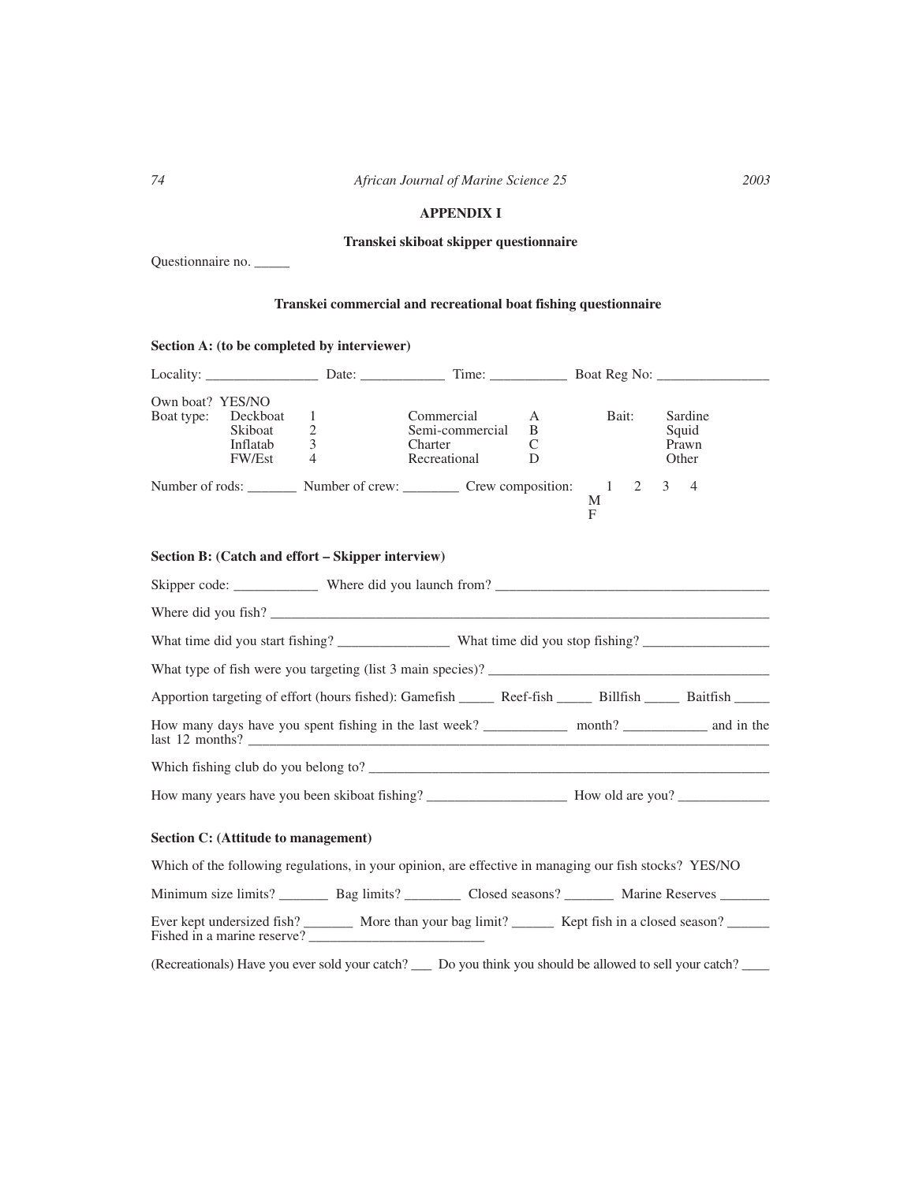# **APPENDIX I**

# **Transkei skiboat skipper questionnaire**

Questionnaire no. \_\_\_\_\_

# **Transkei commercial and recreational boat fishing questionnaire**

# **Section A: (to be completed by interviewer)**

| Locality: Date: Date: Time: Boat Reg No:                                                                                                     |                               |                                                          |                  |             |                                    |
|----------------------------------------------------------------------------------------------------------------------------------------------|-------------------------------|----------------------------------------------------------|------------------|-------------|------------------------------------|
| Own boat? YES/NO<br>Boat type:<br>Deckboat<br>Skiboat<br>Inflatab<br><b>FW/Est</b>                                                           | 1<br>$\overline{2}$<br>3<br>4 | Commercial<br>Semi-commercial<br>Charter<br>Recreational | A<br>B<br>C<br>D | Bait:       | Sardine<br>Squid<br>Prawn<br>Other |
| Number of rods: Number of crew: Crew composition: 1                                                                                          |                               |                                                          |                  | 2<br>М<br>F | 3<br>$\overline{4}$                |
| Section B: (Catch and effort – Skipper interview)                                                                                            |                               |                                                          |                  |             |                                    |
|                                                                                                                                              |                               |                                                          |                  |             |                                    |
|                                                                                                                                              |                               |                                                          |                  |             |                                    |
|                                                                                                                                              |                               |                                                          |                  |             |                                    |
| What type of fish were you targeting (list 3 main species)?                                                                                  |                               |                                                          |                  |             |                                    |
|                                                                                                                                              |                               |                                                          |                  |             |                                    |
| last 12 months?                                                                                                                              |                               |                                                          |                  |             |                                    |
| Which fishing club do you belong to?                                                                                                         |                               |                                                          |                  |             |                                    |
|                                                                                                                                              |                               |                                                          |                  |             |                                    |
| Section C: (Attitude to management)                                                                                                          |                               |                                                          |                  |             |                                    |
| Which of the following regulations, in your opinion, are effective in managing our fish stocks? YES/NO                                       |                               |                                                          |                  |             |                                    |
| Minimum size limits? ___________ Bag limits? ___________ Closed seasons? __________ Marine Reserves _________                                |                               |                                                          |                  |             |                                    |
| Ever kept undersized fish? _________ More than your bag limit? ________ Kept fish in a closed season? _______<br>Fished in a marine reserve? |                               |                                                          |                  |             |                                    |
| (Recreationals) Have you ever sold your catch? _____ Do you think you should be allowed to sell your catch?                                  |                               |                                                          |                  |             |                                    |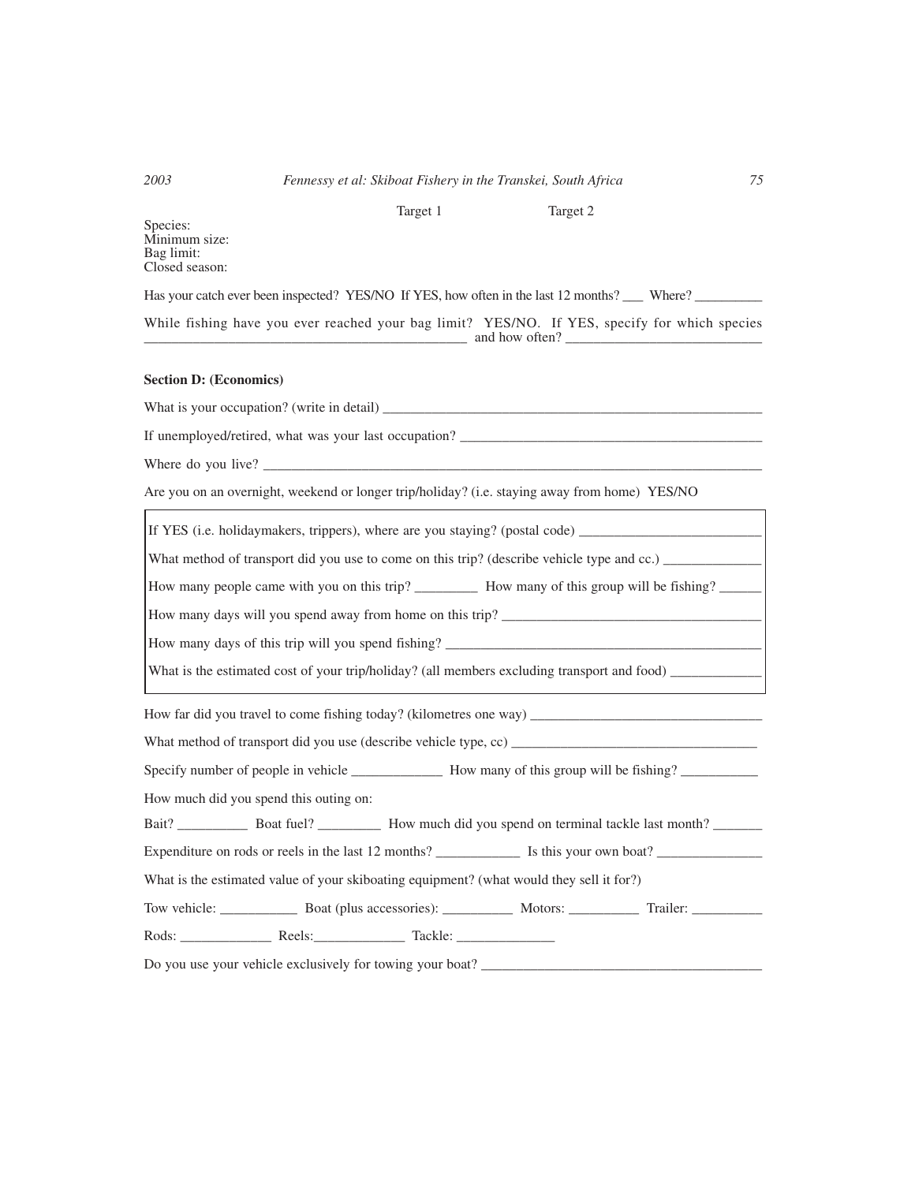# *2003 Fennessy et al: Skiboat Fishery in the Transkei, South Africa 75*

Target 1 Target 2

Species: Minimum size: Bag limit: Closed season:

Has your catch ever been inspected? YES/NO If YES, how often in the last 12 months? \_\_\_ Where? \_\_\_\_\_\_\_\_\_\_\_

While fishing have you ever reached your bag limit? YES/NO. If YES, specify for which species  $\Box$  and how often?  $\Box$ 

# **Section D: (Economics)**

What is your occupation? (write in detail) \_\_\_\_\_\_\_\_\_\_\_\_\_\_\_\_\_\_\_\_\_\_\_\_\_\_\_\_\_\_\_\_\_\_\_\_\_\_\_\_\_\_\_\_\_\_\_\_\_\_\_\_\_\_

If unemployed/retired, what was your last occupation? \_\_\_\_\_\_\_\_\_\_\_\_\_\_\_\_\_\_\_\_\_\_\_\_\_\_\_\_\_\_\_\_\_\_\_\_\_\_\_\_\_\_\_

Where do you live?  $\_\_$ 

Ē

Are you on an overnight, weekend or longer trip/holiday? (i.e. staying away from home) YES/NO

| How many people came with you on this trip? ____________ How many of this group will be fishing? _______ |  |  |  |  |  |  |  |  |
|----------------------------------------------------------------------------------------------------------|--|--|--|--|--|--|--|--|
|                                                                                                          |  |  |  |  |  |  |  |  |
|                                                                                                          |  |  |  |  |  |  |  |  |
|                                                                                                          |  |  |  |  |  |  |  |  |
|                                                                                                          |  |  |  |  |  |  |  |  |
|                                                                                                          |  |  |  |  |  |  |  |  |
| What method of transport did you use (describe vehicle type, cc)                                         |  |  |  |  |  |  |  |  |
|                                                                                                          |  |  |  |  |  |  |  |  |
| How much did you spend this outing on:                                                                   |  |  |  |  |  |  |  |  |
|                                                                                                          |  |  |  |  |  |  |  |  |
|                                                                                                          |  |  |  |  |  |  |  |  |
| What is the estimated value of your skiboating equipment? (what would they sell it for?)                 |  |  |  |  |  |  |  |  |
|                                                                                                          |  |  |  |  |  |  |  |  |
|                                                                                                          |  |  |  |  |  |  |  |  |
| Do you use your vehicle exclusively for towing your boat? _______________________                        |  |  |  |  |  |  |  |  |

Ē,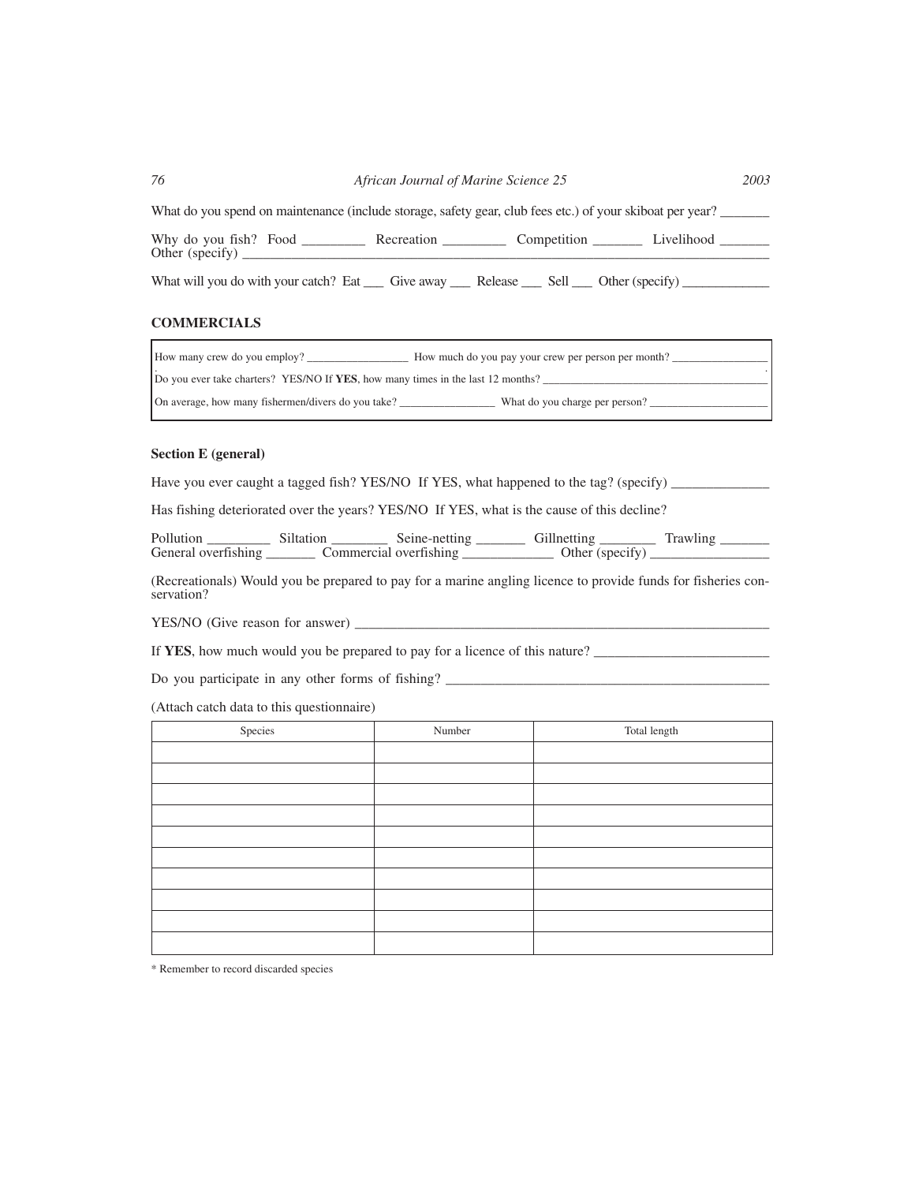| 76 | African Journal of Marine Science 25 | 2003 |
|----|--------------------------------------|------|
|    |                                      |      |

What do you spend on maintenance (include storage, safety gear, club fees etc.) of your skiboat per year?

| Why<br>VO <sub>1</sub><br>.<br>dc | HOP<br>_________ | ____________ |  |
|-----------------------------------|------------------|--------------|--|
| Other<br>.                        |                  |              |  |
|                                   |                  |              |  |

What will you do with your catch? Eat \_\_\_\_ Give away \_\_\_\_ Release \_\_\_\_ Sell \_\_\_ Other (specify) \_\_\_\_\_\_\_\_\_\_\_\_\_

# **COMMERCIALS**

| How many crew do you employ?<br>How much do you pay your crew per person per month?  |
|--------------------------------------------------------------------------------------|
| Do you ever take charters? YES/NO If YES, how many times in the last 12 months?      |
| On average, how many fishermen/divers do you take?<br>What do you charge per person? |

# **Section E (general)**

Have you ever caught a tagged fish? YES/NO If YES, what happened to the tag? (specify) \_\_\_\_\_\_\_\_\_\_\_\_

Has fishing deteriorated over the years? YES/NO If YES, what is the cause of this decline?

Pollution \_\_\_\_\_\_\_\_\_\_ Siltation \_\_\_\_\_\_\_\_\_ Seine-netting \_\_\_\_\_\_\_\_ Gillnetting \_\_\_\_\_\_\_\_ Trawling \_\_\_\_\_\_ General overfishing \_\_\_\_\_\_\_\_\_ Commercial overfishing \_\_\_\_\_\_\_\_\_\_\_\_\_\_ Other (specify) \_\_\_\_\_\_\_\_\_\_\_\_\_\_\_

(Recreationals) Would you be prepared to pay for a marine angling licence to provide funds for fisheries conservation?

YES/NO (Give reason for answer) \_\_\_\_\_\_\_\_\_\_\_\_\_\_\_\_\_\_\_\_\_\_\_\_\_\_\_\_\_\_\_\_\_\_\_\_\_\_\_\_\_\_\_\_\_\_\_\_\_\_\_\_\_\_\_\_\_\_\_

If **YES**, how much would you be prepared to pay for a licence of this nature?

Do you participate in any other forms of fishing?

(Attach catch data to this questionnaire)

| Species | Number | Total length |
|---------|--------|--------------|
|         |        |              |
|         |        |              |
|         |        |              |
|         |        |              |
|         |        |              |
|         |        |              |
|         |        |              |
|         |        |              |
|         |        |              |
|         |        |              |

\* Remember to record discarded species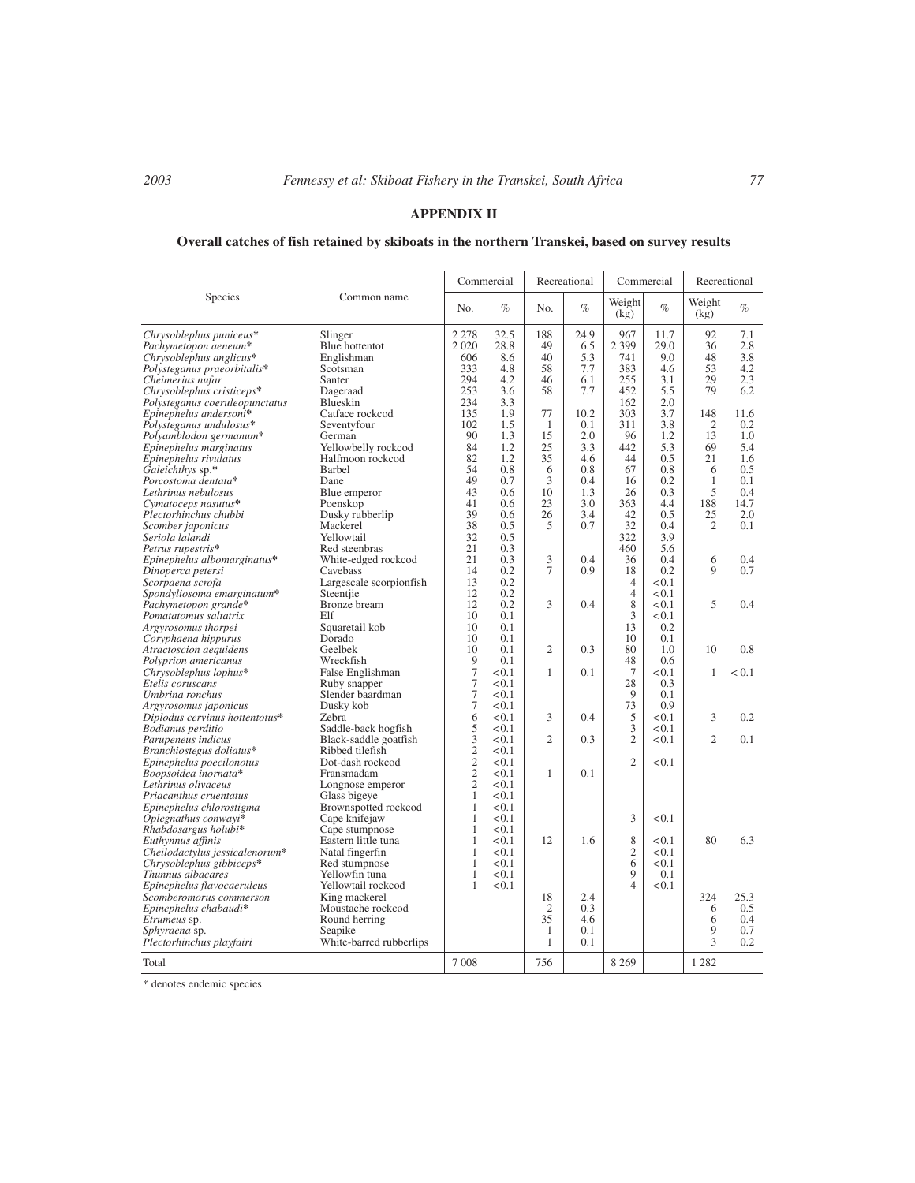# **APPENDIX II**

# **Overall catches of fish retained by skiboats in the northern Transkei, based on survey results**

|                                                             |                                          | Commercial       |                | Recreational   |            | Commercial                    |              | Recreational   |            |
|-------------------------------------------------------------|------------------------------------------|------------------|----------------|----------------|------------|-------------------------------|--------------|----------------|------------|
| Species                                                     | Common name                              | No.              | $\%$           | No.            | $\%$       | Weight<br>(kg)                | $\%$         | Weight<br>(kg) | $\%$       |
| Chrysoblephus puniceus*                                     | Slinger                                  | 2 2 7 8          | 32.5           | 188            | 24.9       | 967                           | 11.7         | 92             | 7.1        |
| Pachymetopon aeneum*                                        | Blue hottentot                           | 2 0 2 0          | 28.8           | 49             | 6.5        | 2 3 9 9                       | 29.0         | 36             | 2.8        |
| Chrysoblephus anglicus*                                     | Englishman                               | 606              | 8.6            | 40             | 5.3        | 741                           | 9.0          | 48             | 3.8        |
| Polysteganus praeorbitalis*                                 | Scotsman                                 | 333<br>294       | 4.8<br>4.2     | 58             | 7.7        | 383<br>255                    | 4.6<br>3.1   | 53<br>29       | 4.2<br>2.3 |
| Cheimerius nufar                                            | Santer<br>Dageraad                       | 253              | 3.6            | 46<br>58       | 6.1<br>7.7 | 452                           | 5.5          | 79             | 6.2        |
| Chrysoblephus cristiceps*<br>Polysteganus coeruleopunctatus | Blueskin                                 | 234              | 3.3            |                |            | 162                           | 2.0          |                |            |
| Epinephelus andersoni*                                      | Catface rockcod                          | 135              | 1.9            | 77             | 10.2       | 303                           | 3.7          | 148            | 11.6       |
| Polysteganus undulosus*                                     | Seventyfour                              | 102              | 1.5            | 1              | 0.1        | 311                           | 3.8          | $\overline{2}$ | 0.2        |
| Polyamblodon germanum*                                      | German                                   | 90               | 1.3            | 15             | 2.0        | 96                            | 1.2          | 13             | 1.0        |
| Epinephelus marginatus                                      | Yellowbelly rockcod                      | 84               | 1.2            | 25             | 3.3        | 442                           | 5.3          | 69             | 5.4        |
| Epinephelus rivulatus                                       | Halfmoon rockcod                         | 82               | 1.2            | 35             | 4.6        | 44                            | 0.5          | 21             | 1.6        |
| Galeichthys sp.*                                            | <b>Barbel</b>                            | 54               | 0.8            | 6              | 0.8        | 67                            | 0.8          | 6              | 0.5        |
| Porcostoma dentata*                                         | Dane                                     | 49               | 0.7            | 3              | 0.4        | 16                            | 0.2          | $\mathbf{1}$   | 0.1        |
| Lethrinus nebulosus                                         | Blue emperor                             | 43               | 0.6            | 10             | 1.3        | 26                            | 0.3          | 5              | 0.4        |
| Cymatoceps nasutus*                                         | Poenskop                                 | 41               | 0.6            | 23             | 3.0        | 363                           | 4.4          | 188            | 14.7       |
| Plectorhinchus chubbi                                       | Dusky rubberlip                          | 39               | 0.6            | 26             | 3.4        | 42                            | 0.5          | 25             | 2.0        |
| Scomber japonicus                                           | Mackerel                                 | 38               | 0.5            | 5              | 0.7        | 32                            | 0.4          | $\overline{2}$ | 0.1        |
| Seriola lalandi                                             | Yellowtail                               | 32               | 0.5            |                |            | 322                           | 3.9          |                |            |
| Petrus rupestris*                                           | Red steenbras                            | 21               | 0.3            |                |            | 460                           | 5.6          |                |            |
| Epinephelus albomarginatus*                                 | White-edged rockcod                      | 21               | 0.3            | 3<br>7         | 0.4        | 36                            | 0.4          | 6<br>9         | 0.4        |
| Dinoperca petersi<br>Scorpaena scrofa                       | Cavebass<br>Largescale scorpionfish      | 14<br>13         | 0.2<br>0.2     |                | 0.9        | 18<br>$\overline{4}$          | 0.2<br>< 0.1 |                | 0.7        |
| Spondyliosoma emarginatum*                                  | Steentjie                                | 12               | 0.2            |                |            | $\overline{4}$                | < 0.1        |                |            |
| Pachymetopon grande*                                        | Bronze bream                             | 12               | 0.2            | 3              | 0.4        | 8                             | < 0.1        | 5              | 0.4        |
| Pomatatomus saltatrix                                       | Elf                                      | 10               | 0.1            |                |            | 3                             | < 0.1        |                |            |
| Argyrosomus thorpei                                         | Squaretail kob                           | 10               | 0.1            |                |            | 13                            | 0.2          |                |            |
| Coryphaena hippurus                                         | Dorado                                   | 10               | 0.1            |                |            | 10                            | 0.1          |                |            |
| Atractoscion aequidens                                      | Geelbek                                  | 10               | 0.1            | $\overline{c}$ | 0.3        | 80                            | 1.0          | 10             | 0.8        |
| Polyprion americanus                                        | Wreckfish                                | 9                | 0.1            |                |            | 48                            | 0.6          |                |            |
| Chrysoblephus lophus*                                       | False Englishman                         | $\boldsymbol{7}$ | < 0.1          | 1              | 0.1        | $\tau$                        | < 0.1        | $\mathbf{1}$   | < 0.1      |
| Etelis coruscans                                            | Ruby snapper                             | $\overline{7}$   | < 0.1          |                |            | 28                            | 0.3          |                |            |
| Umbrina ronchus                                             | Slender baardman                         | $\boldsymbol{7}$ | < 0.1          |                |            | 9                             | 0.1          |                |            |
| Argyrosomus japonicus                                       | Dusky kob                                | $\tau$           | < 0.1          |                |            | 73                            | 0.9          |                |            |
| Diplodus cervinus hottentotus*                              | Zebra                                    | 6                | < 0.1          | 3              | 0.4        | 5                             | < 0.1        | 3              | 0.2        |
| Bodianus perditio                                           | Saddle-back hogfish                      | 5<br>3           | < 0.1<br>< 0.1 | $\overline{c}$ | 0.3        | 3<br>$\overline{2}$           | < 0.1        | $\mathfrak{D}$ | 0.1        |
| Parupeneus indicus                                          | Black-saddle goatfish<br>Ribbed tilefish |                  | < 0.1          |                |            |                               | < 0.1        |                |            |
| Branchiostegus doliatus*<br>Epinephelus poecilonotus        | Dot-dash rockcod                         | $\frac{2}{2}$    | < 0.1          |                |            | $\overline{2}$                | < 0.1        |                |            |
| Boopsoidea inornata*                                        | Fransmadam                               | $\overline{c}$   | < 0.1          | 1              | 0.1        |                               |              |                |            |
| Lethrinus olivaceus                                         | Longnose emperor                         | $\overline{c}$   | < 0.1          |                |            |                               |              |                |            |
| Priacanthus cruentatus                                      | Glass bigeye                             | $\mathbf{1}$     | < 0.1          |                |            |                               |              |                |            |
| Epinephelus chlorostigma                                    | Brownspotted rockcod                     | $\mathbf{1}$     | < 0.1          |                |            |                               |              |                |            |
| Oplegnathus conwayi*                                        | Cape knifejaw                            | $\mathbf{1}$     | < 0.1          |                |            | 3                             | < 0.1        |                |            |
| Rhabdosargus holubi*                                        | Cape stumpnose                           | $\mathbf{1}$     | < 0.1          |                |            |                               |              |                |            |
| Euthynnus affinis                                           | Eastern little tuna                      | 1                | < 0.1          | 12             | 1.6        | 8                             | < 0.1        | 80             | 6.3        |
| Cheilodactylus jessicalenorum*                              | Natal fingerfin                          | $\mathbf{1}$     | < 0.1          |                |            | $\overline{2}$                | < 0.1        |                |            |
| Chrysoblephus gibbiceps*                                    | Red stumpnose                            | $\mathbf{1}$     | < 0.1          |                |            | 6                             | < 0.1        |                |            |
| Thunnus albacares                                           | Yellowfin tuna                           | 1                | < 0.1          |                |            | 9<br>$\overline{\mathcal{L}}$ | 0.1          |                |            |
| Epinephelus flavocaeruleus<br>Scomberomorus commerson       | Yellowtail rockcod<br>King mackerel      | 1                | < 0.1          | 18             | 2.4        |                               | < 0.1        | 324            | 25.3       |
| Epinephelus chabaudi*                                       | Moustache rockcod                        |                  |                | $\mathfrak{2}$ | 0.3        |                               |              | 6              | 0.5        |
| Etrumeus sp.                                                | Round herring                            |                  |                | 35             | 4.6        |                               |              | 6              | 0.4        |
| Sphyraena sp.                                               | Seapike                                  |                  |                | 1              | 0.1        |                               |              | 9              | 0.7        |
| Plectorhinchus playfairi                                    | White-barred rubberlips                  |                  |                | $\mathbf{1}$   | 0.1        |                               |              | 3              | 0.2        |
| Total                                                       |                                          | 7008             |                | 756            |            | 8 2 6 9                       |              | 1 2 8 2        |            |
|                                                             |                                          |                  |                |                |            |                               |              |                |            |

\* denotes endemic species